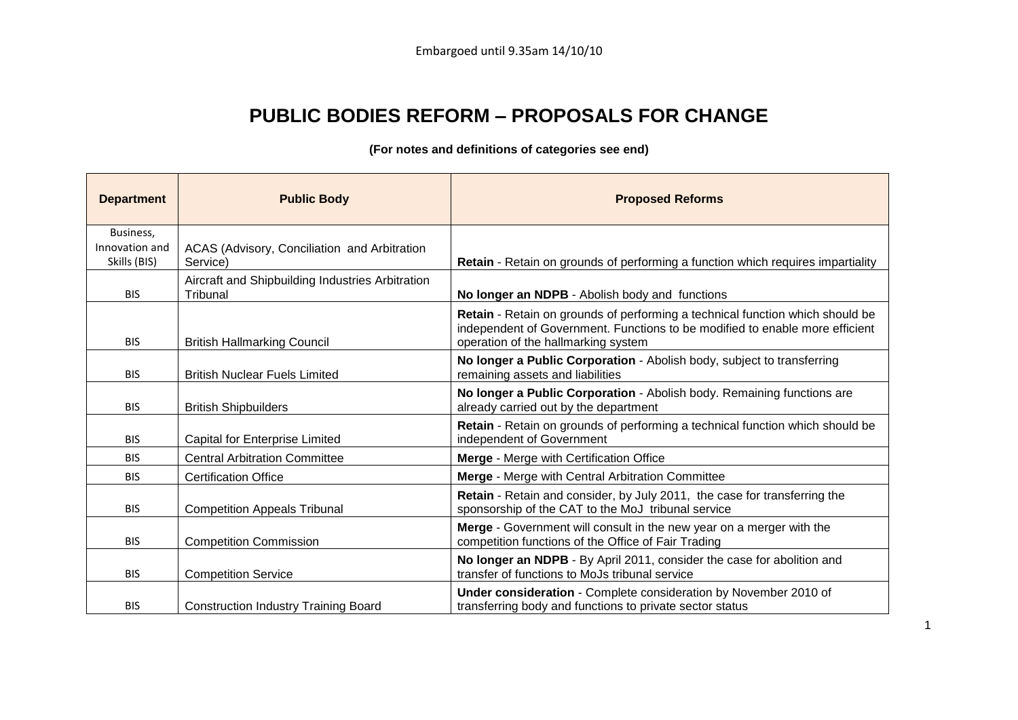# **PUBLIC BODIES REFORM – PROPOSALS FOR CHANGE**

### **(For notes and definitions of categories see end)**

| <b>Department</b>              | <b>Public Body</b>                                           | <b>Proposed Reforms</b>                                                                                                                                                                              |
|--------------------------------|--------------------------------------------------------------|------------------------------------------------------------------------------------------------------------------------------------------------------------------------------------------------------|
| Business,                      |                                                              |                                                                                                                                                                                                      |
| Innovation and<br>Skills (BIS) | ACAS (Advisory, Conciliation and Arbitration<br>Service)     | Retain - Retain on grounds of performing a function which requires impartiality                                                                                                                      |
| <b>BIS</b>                     | Aircraft and Shipbuilding Industries Arbitration<br>Tribunal | No longer an NDPB - Abolish body and functions                                                                                                                                                       |
| <b>BIS</b>                     | <b>British Hallmarking Council</b>                           | Retain - Retain on grounds of performing a technical function which should be<br>independent of Government. Functions to be modified to enable more efficient<br>operation of the hallmarking system |
| <b>BIS</b>                     | <b>British Nuclear Fuels Limited</b>                         | No longer a Public Corporation - Abolish body, subject to transferring<br>remaining assets and liabilities                                                                                           |
| <b>BIS</b>                     | <b>British Shipbuilders</b>                                  | No longer a Public Corporation - Abolish body. Remaining functions are<br>already carried out by the department                                                                                      |
| <b>BIS</b>                     | Capital for Enterprise Limited                               | <b>Retain</b> - Retain on grounds of performing a technical function which should be<br>independent of Government                                                                                    |
| <b>BIS</b>                     | <b>Central Arbitration Committee</b>                         | Merge - Merge with Certification Office                                                                                                                                                              |
| <b>BIS</b>                     | <b>Certification Office</b>                                  | Merge - Merge with Central Arbitration Committee                                                                                                                                                     |
| <b>BIS</b>                     | <b>Competition Appeals Tribunal</b>                          | Retain - Retain and consider, by July 2011, the case for transferring the<br>sponsorship of the CAT to the MoJ tribunal service                                                                      |
| <b>BIS</b>                     | <b>Competition Commission</b>                                | Merge - Government will consult in the new year on a merger with the<br>competition functions of the Office of Fair Trading                                                                          |
| <b>BIS</b>                     | <b>Competition Service</b>                                   | No longer an NDPB - By April 2011, consider the case for abolition and<br>transfer of functions to MoJs tribunal service                                                                             |
| <b>BIS</b>                     | <b>Construction Industry Training Board</b>                  | Under consideration - Complete consideration by November 2010 of<br>transferring body and functions to private sector status                                                                         |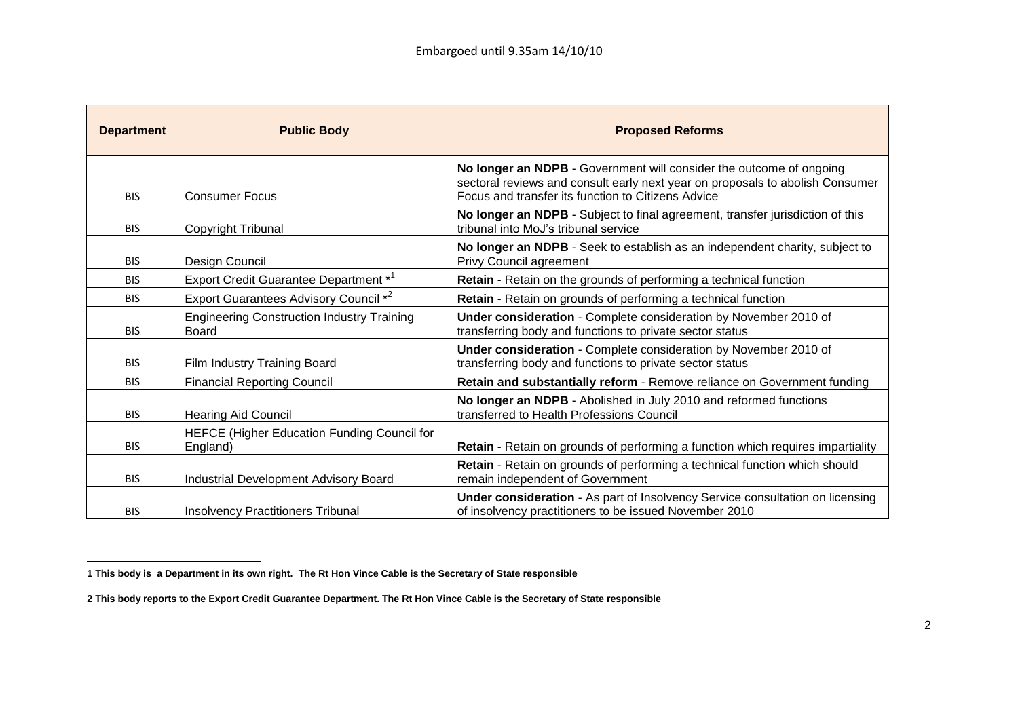| <b>Department</b> | <b>Public Body</b>                                         | <b>Proposed Reforms</b>                                                                                                                                                                                    |
|-------------------|------------------------------------------------------------|------------------------------------------------------------------------------------------------------------------------------------------------------------------------------------------------------------|
| <b>BIS</b>        | <b>Consumer Focus</b>                                      | No longer an NDPB - Government will consider the outcome of ongoing<br>sectoral reviews and consult early next year on proposals to abolish Consumer<br>Focus and transfer its function to Citizens Advice |
| <b>BIS</b>        | Copyright Tribunal                                         | No longer an NDPB - Subject to final agreement, transfer jurisdiction of this<br>tribunal into MoJ's tribunal service                                                                                      |
| <b>BIS</b>        | Design Council                                             | No longer an NDPB - Seek to establish as an independent charity, subject to<br>Privy Council agreement                                                                                                     |
| <b>BIS</b>        | Export Credit Guarantee Department * <sup>1</sup>          | Retain - Retain on the grounds of performing a technical function                                                                                                                                          |
| <b>BIS</b>        | Export Guarantees Advisory Council *2                      | Retain - Retain on grounds of performing a technical function                                                                                                                                              |
| <b>BIS</b>        | <b>Engineering Construction Industry Training</b><br>Board | Under consideration - Complete consideration by November 2010 of<br>transferring body and functions to private sector status                                                                               |
| <b>BIS</b>        | Film Industry Training Board                               | Under consideration - Complete consideration by November 2010 of<br>transferring body and functions to private sector status                                                                               |
| <b>BIS</b>        | <b>Financial Reporting Council</b>                         | Retain and substantially reform - Remove reliance on Government funding                                                                                                                                    |
| <b>BIS</b>        | <b>Hearing Aid Council</b>                                 | No longer an NDPB - Abolished in July 2010 and reformed functions<br>transferred to Health Professions Council                                                                                             |
| <b>BIS</b>        | HEFCE (Higher Education Funding Council for<br>England)    | Retain - Retain on grounds of performing a function which requires impartiality                                                                                                                            |
| <b>BIS</b>        | Industrial Development Advisory Board                      | Retain - Retain on grounds of performing a technical function which should<br>remain independent of Government                                                                                             |
| <b>BIS</b>        | <b>Insolvency Practitioners Tribunal</b>                   | <b>Under consideration</b> - As part of Insolvency Service consultation on licensing<br>of insolvency practitioners to be issued November 2010                                                             |

 $\overline{a}$ **1 This body is a Department in its own right. The Rt Hon Vince Cable is the Secretary of State responsible** 

**<sup>2</sup> This body reports to the Export Credit Guarantee Department. The Rt Hon Vince Cable is the Secretary of State responsible**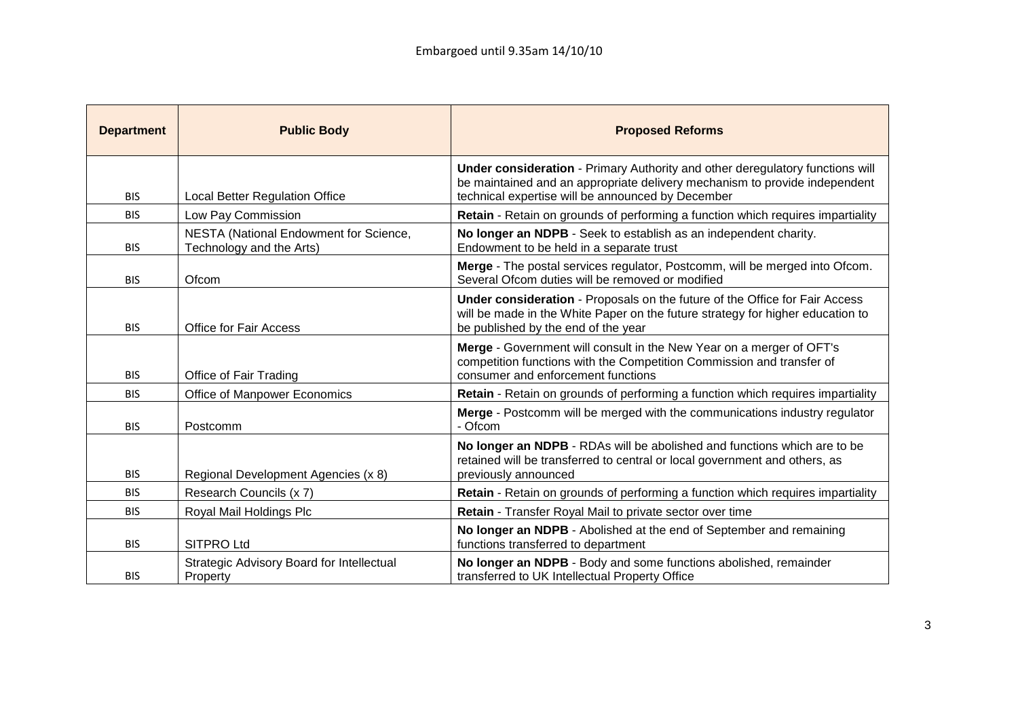| <b>Department</b> | <b>Public Body</b>                                                 | <b>Proposed Reforms</b>                                                                                                                                                                                                 |
|-------------------|--------------------------------------------------------------------|-------------------------------------------------------------------------------------------------------------------------------------------------------------------------------------------------------------------------|
| <b>BIS</b>        | <b>Local Better Regulation Office</b>                              | <b>Under consideration</b> - Primary Authority and other deregulatory functions will<br>be maintained and an appropriate delivery mechanism to provide independent<br>technical expertise will be announced by December |
| <b>BIS</b>        | Low Pay Commission                                                 | Retain - Retain on grounds of performing a function which requires impartiality                                                                                                                                         |
| <b>BIS</b>        | NESTA (National Endowment for Science,<br>Technology and the Arts) | No longer an NDPB - Seek to establish as an independent charity.<br>Endowment to be held in a separate trust                                                                                                            |
| <b>BIS</b>        | Ofcom                                                              | Merge - The postal services regulator, Postcomm, will be merged into Ofcom.<br>Several Ofcom duties will be removed or modified                                                                                         |
| <b>BIS</b>        | <b>Office for Fair Access</b>                                      | Under consideration - Proposals on the future of the Office for Fair Access<br>will be made in the White Paper on the future strategy for higher education to<br>be published by the end of the year                    |
| <b>BIS</b>        | Office of Fair Trading                                             | Merge - Government will consult in the New Year on a merger of OFT's<br>competition functions with the Competition Commission and transfer of<br>consumer and enforcement functions                                     |
| <b>BIS</b>        | Office of Manpower Economics                                       | Retain - Retain on grounds of performing a function which requires impartiality                                                                                                                                         |
| <b>BIS</b>        | Postcomm                                                           | Merge - Postcomm will be merged with the communications industry regulator<br>- Ofcom                                                                                                                                   |
| <b>BIS</b>        | Regional Development Agencies (x 8)                                | No longer an NDPB - RDAs will be abolished and functions which are to be<br>retained will be transferred to central or local government and others, as<br>previously announced                                          |
| <b>BIS</b>        | Research Councils (x 7)                                            | Retain - Retain on grounds of performing a function which requires impartiality                                                                                                                                         |
| <b>BIS</b>        | Royal Mail Holdings Plc                                            | Retain - Transfer Royal Mail to private sector over time                                                                                                                                                                |
| <b>BIS</b>        | <b>SITPRO Ltd</b>                                                  | No longer an NDPB - Abolished at the end of September and remaining<br>functions transferred to department                                                                                                              |
| <b>BIS</b>        | Strategic Advisory Board for Intellectual<br>Property              | No longer an NDPB - Body and some functions abolished, remainder<br>transferred to UK Intellectual Property Office                                                                                                      |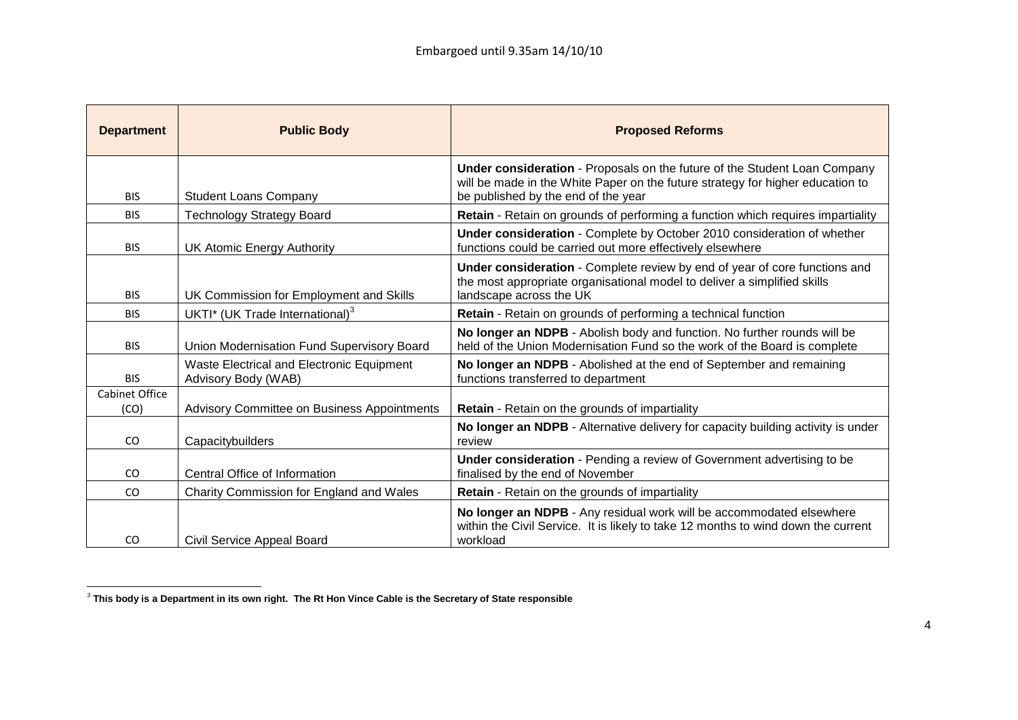| <b>Department</b>             | <b>Public Body</b>                                               | <b>Proposed Reforms</b>                                                                                                                                                                                   |
|-------------------------------|------------------------------------------------------------------|-----------------------------------------------------------------------------------------------------------------------------------------------------------------------------------------------------------|
| <b>BIS</b>                    | <b>Student Loans Company</b>                                     | <b>Under consideration</b> - Proposals on the future of the Student Loan Company<br>will be made in the White Paper on the future strategy for higher education to<br>be published by the end of the year |
| <b>BIS</b>                    | <b>Technology Strategy Board</b>                                 | <b>Retain</b> - Retain on grounds of performing a function which requires impartiality                                                                                                                    |
| <b>BIS</b>                    | <b>UK Atomic Energy Authority</b>                                | Under consideration - Complete by October 2010 consideration of whether<br>functions could be carried out more effectively elsewhere                                                                      |
| <b>BIS</b>                    | UK Commission for Employment and Skills                          | Under consideration - Complete review by end of year of core functions and<br>the most appropriate organisational model to deliver a simplified skills<br>landscape across the UK                         |
| <b>BIS</b>                    | UKTI* (UK Trade International) <sup>3</sup>                      | Retain - Retain on grounds of performing a technical function                                                                                                                                             |
| <b>BIS</b>                    | Union Modernisation Fund Supervisory Board                       | No longer an NDPB - Abolish body and function. No further rounds will be<br>held of the Union Modernisation Fund so the work of the Board is complete                                                     |
| <b>BIS</b>                    | Waste Electrical and Electronic Equipment<br>Advisory Body (WAB) | No longer an NDPB - Abolished at the end of September and remaining<br>functions transferred to department                                                                                                |
| <b>Cabinet Office</b><br>(CO) | Advisory Committee on Business Appointments                      | Retain - Retain on the grounds of impartiality                                                                                                                                                            |
| CO                            | Capacitybuilders                                                 | No longer an NDPB - Alternative delivery for capacity building activity is under<br>review                                                                                                                |
| CO                            | Central Office of Information                                    | <b>Under consideration</b> - Pending a review of Government advertising to be<br>finalised by the end of November                                                                                         |
| CO.                           | Charity Commission for England and Wales                         | Retain - Retain on the grounds of impartiality                                                                                                                                                            |
| CO.                           | Civil Service Appeal Board                                       | No longer an NDPB - Any residual work will be accommodated elsewhere<br>within the Civil Service. It is likely to take 12 months to wind down the current<br>workload                                     |

 3 **This body is a Department in its own right. The Rt Hon Vince Cable is the Secretary of State responsible**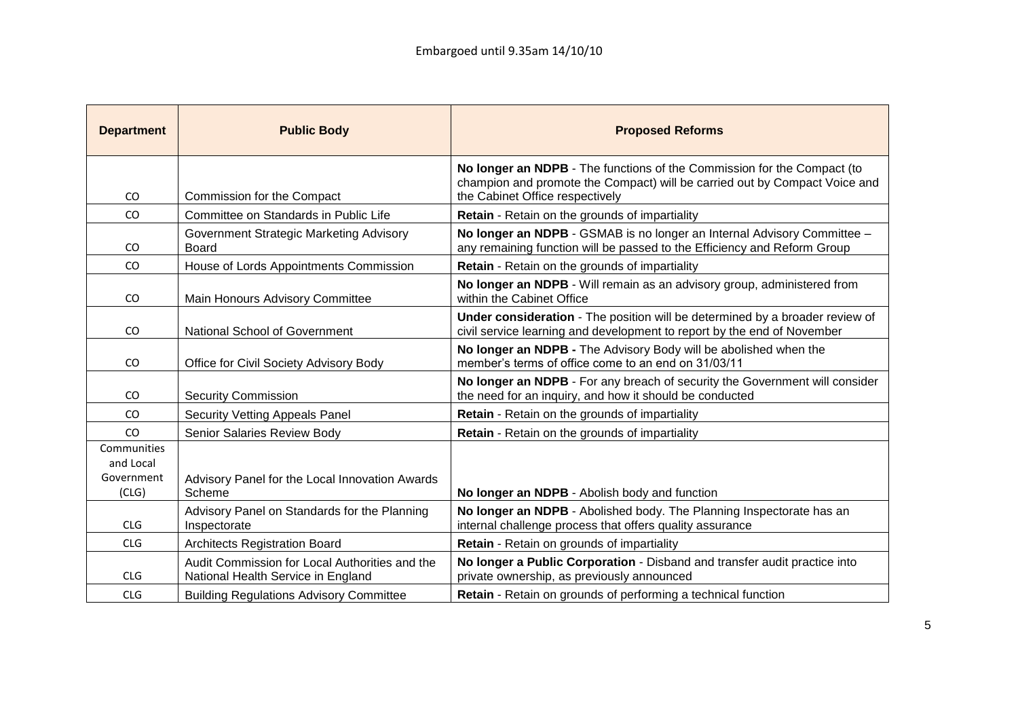| <b>Department</b>                               | <b>Public Body</b>                                                                   | <b>Proposed Reforms</b>                                                                                                                                                                  |
|-------------------------------------------------|--------------------------------------------------------------------------------------|------------------------------------------------------------------------------------------------------------------------------------------------------------------------------------------|
| CO.                                             | Commission for the Compact                                                           | No longer an NDPB - The functions of the Commission for the Compact (to<br>champion and promote the Compact) will be carried out by Compact Voice and<br>the Cabinet Office respectively |
| CO                                              | Committee on Standards in Public Life                                                | Retain - Retain on the grounds of impartiality                                                                                                                                           |
| CO                                              | Government Strategic Marketing Advisory<br>Board                                     | No longer an NDPB - GSMAB is no longer an Internal Advisory Committee -<br>any remaining function will be passed to the Efficiency and Reform Group                                      |
| CO.                                             | House of Lords Appointments Commission                                               | Retain - Retain on the grounds of impartiality                                                                                                                                           |
| CO.                                             | Main Honours Advisory Committee                                                      | No longer an NDPB - Will remain as an advisory group, administered from<br>within the Cabinet Office                                                                                     |
| CO                                              | National School of Government                                                        | Under consideration - The position will be determined by a broader review of<br>civil service learning and development to report by the end of November                                  |
| <b>CO</b>                                       | Office for Civil Society Advisory Body                                               | No longer an NDPB - The Advisory Body will be abolished when the<br>member's terms of office come to an end on 31/03/11                                                                  |
| CO.                                             | <b>Security Commission</b>                                                           | No longer an NDPB - For any breach of security the Government will consider<br>the need for an inquiry, and how it should be conducted                                                   |
| <b>CO</b>                                       | <b>Security Vetting Appeals Panel</b>                                                | <b>Retain</b> - Retain on the grounds of impartiality                                                                                                                                    |
| <b>CO</b>                                       | Senior Salaries Review Body                                                          | Retain - Retain on the grounds of impartiality                                                                                                                                           |
| Communities<br>and Local<br>Government<br>(CLG) | Advisory Panel for the Local Innovation Awards<br>Scheme                             | No longer an NDPB - Abolish body and function                                                                                                                                            |
| <b>CLG</b>                                      | Advisory Panel on Standards for the Planning<br>Inspectorate                         | No longer an NDPB - Abolished body. The Planning Inspectorate has an<br>internal challenge process that offers quality assurance                                                         |
| <b>CLG</b>                                      | <b>Architects Registration Board</b>                                                 | Retain - Retain on grounds of impartiality                                                                                                                                               |
| <b>CLG</b>                                      | Audit Commission for Local Authorities and the<br>National Health Service in England | No longer a Public Corporation - Disband and transfer audit practice into<br>private ownership, as previously announced                                                                  |
| <b>CLG</b>                                      | <b>Building Regulations Advisory Committee</b>                                       | Retain - Retain on grounds of performing a technical function                                                                                                                            |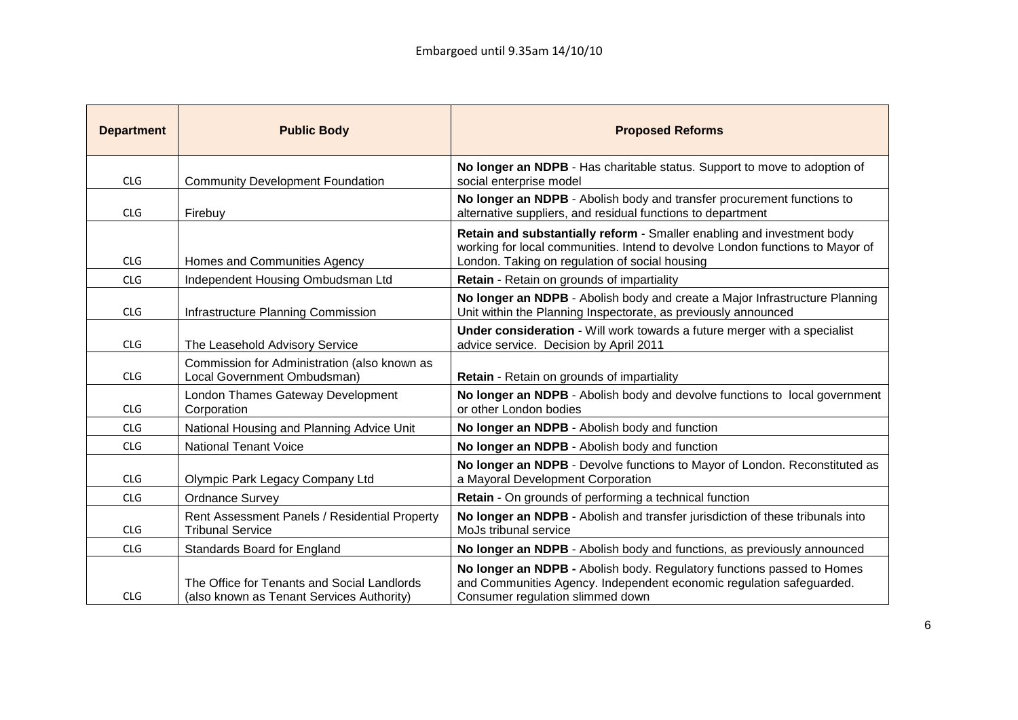| <b>Department</b> | <b>Public Body</b>                                                                       | <b>Proposed Reforms</b>                                                                                                                                                                                   |
|-------------------|------------------------------------------------------------------------------------------|-----------------------------------------------------------------------------------------------------------------------------------------------------------------------------------------------------------|
| <b>CLG</b>        | <b>Community Development Foundation</b>                                                  | No longer an NDPB - Has charitable status. Support to move to adoption of<br>social enterprise model                                                                                                      |
| <b>CLG</b>        | Firebuy                                                                                  | No longer an NDPB - Abolish body and transfer procurement functions to<br>alternative suppliers, and residual functions to department                                                                     |
| <b>CLG</b>        | Homes and Communities Agency                                                             | Retain and substantially reform - Smaller enabling and investment body<br>working for local communities. Intend to devolve London functions to Mayor of<br>London. Taking on regulation of social housing |
| <b>CLG</b>        | Independent Housing Ombudsman Ltd                                                        | Retain - Retain on grounds of impartiality                                                                                                                                                                |
| <b>CLG</b>        | Infrastructure Planning Commission                                                       | No longer an NDPB - Abolish body and create a Major Infrastructure Planning<br>Unit within the Planning Inspectorate, as previously announced                                                             |
| <b>CLG</b>        | The Leasehold Advisory Service                                                           | Under consideration - Will work towards a future merger with a specialist<br>advice service. Decision by April 2011                                                                                       |
| <b>CLG</b>        | Commission for Administration (also known as<br>Local Government Ombudsman)              | Retain - Retain on grounds of impartiality                                                                                                                                                                |
| <b>CLG</b>        | London Thames Gateway Development<br>Corporation                                         | No longer an NDPB - Abolish body and devolve functions to local government<br>or other London bodies                                                                                                      |
| <b>CLG</b>        | National Housing and Planning Advice Unit                                                | No longer an NDPB - Abolish body and function                                                                                                                                                             |
| <b>CLG</b>        | <b>National Tenant Voice</b>                                                             | No longer an NDPB - Abolish body and function                                                                                                                                                             |
| <b>CLG</b>        | Olympic Park Legacy Company Ltd                                                          | No longer an NDPB - Devolve functions to Mayor of London. Reconstituted as<br>a Mayoral Development Corporation                                                                                           |
| <b>CLG</b>        | <b>Ordnance Survey</b>                                                                   | Retain - On grounds of performing a technical function                                                                                                                                                    |
| <b>CLG</b>        | Rent Assessment Panels / Residential Property<br><b>Tribunal Service</b>                 | No longer an NDPB - Abolish and transfer jurisdiction of these tribunals into<br>MoJs tribunal service                                                                                                    |
| <b>CLG</b>        | Standards Board for England                                                              | No longer an NDPB - Abolish body and functions, as previously announced                                                                                                                                   |
| <b>CLG</b>        | The Office for Tenants and Social Landlords<br>(also known as Tenant Services Authority) | No longer an NDPB - Abolish body. Regulatory functions passed to Homes<br>and Communities Agency. Independent economic regulation safeguarded.<br>Consumer regulation slimmed down                        |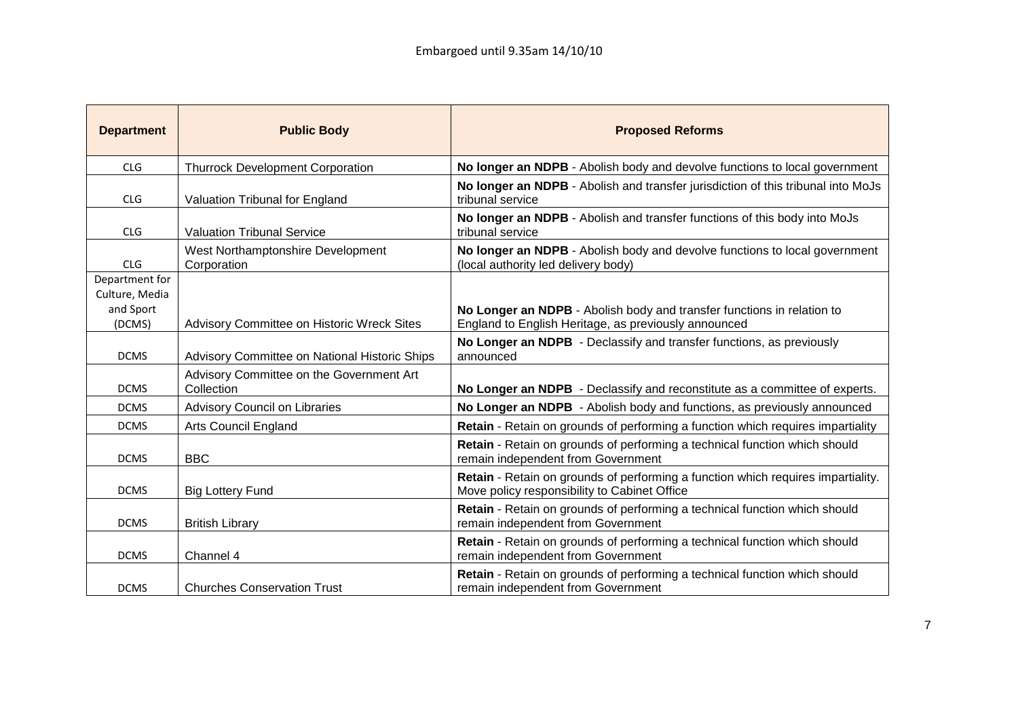| <b>Department</b>                                       | <b>Public Body</b>                                     | <b>Proposed Reforms</b>                                                                                                          |
|---------------------------------------------------------|--------------------------------------------------------|----------------------------------------------------------------------------------------------------------------------------------|
| <b>CLG</b>                                              | <b>Thurrock Development Corporation</b>                | No longer an NDPB - Abolish body and devolve functions to local government                                                       |
| <b>CLG</b>                                              | Valuation Tribunal for England                         | No longer an NDPB - Abolish and transfer jurisdiction of this tribunal into MoJs<br>tribunal service                             |
| <b>CLG</b>                                              | <b>Valuation Tribunal Service</b>                      | No longer an NDPB - Abolish and transfer functions of this body into MoJs<br>tribunal service                                    |
| <b>CLG</b>                                              | West Northamptonshire Development<br>Corporation       | No longer an NDPB - Abolish body and devolve functions to local government<br>(local authority led delivery body)                |
| Department for<br>Culture, Media<br>and Sport<br>(DCMS) | Advisory Committee on Historic Wreck Sites             | No Longer an NDPB - Abolish body and transfer functions in relation to<br>England to English Heritage, as previously announced   |
| <b>DCMS</b>                                             | Advisory Committee on National Historic Ships          | No Longer an NDPB - Declassify and transfer functions, as previously<br>announced                                                |
| <b>DCMS</b>                                             | Advisory Committee on the Government Art<br>Collection | No Longer an NDPB - Declassify and reconstitute as a committee of experts.                                                       |
| <b>DCMS</b>                                             | <b>Advisory Council on Libraries</b>                   | No Longer an NDPB - Abolish body and functions, as previously announced                                                          |
| <b>DCMS</b>                                             | <b>Arts Council England</b>                            | <b>Retain</b> - Retain on grounds of performing a function which requires impartiality                                           |
| <b>DCMS</b>                                             | <b>BBC</b>                                             | Retain - Retain on grounds of performing a technical function which should<br>remain independent from Government                 |
| <b>DCMS</b>                                             | <b>Big Lottery Fund</b>                                | Retain - Retain on grounds of performing a function which requires impartiality.<br>Move policy responsibility to Cabinet Office |
| <b>DCMS</b>                                             | <b>British Library</b>                                 | Retain - Retain on grounds of performing a technical function which should<br>remain independent from Government                 |
| <b>DCMS</b>                                             | Channel 4                                              | Retain - Retain on grounds of performing a technical function which should<br>remain independent from Government                 |
| <b>DCMS</b>                                             | <b>Churches Conservation Trust</b>                     | Retain - Retain on grounds of performing a technical function which should<br>remain independent from Government                 |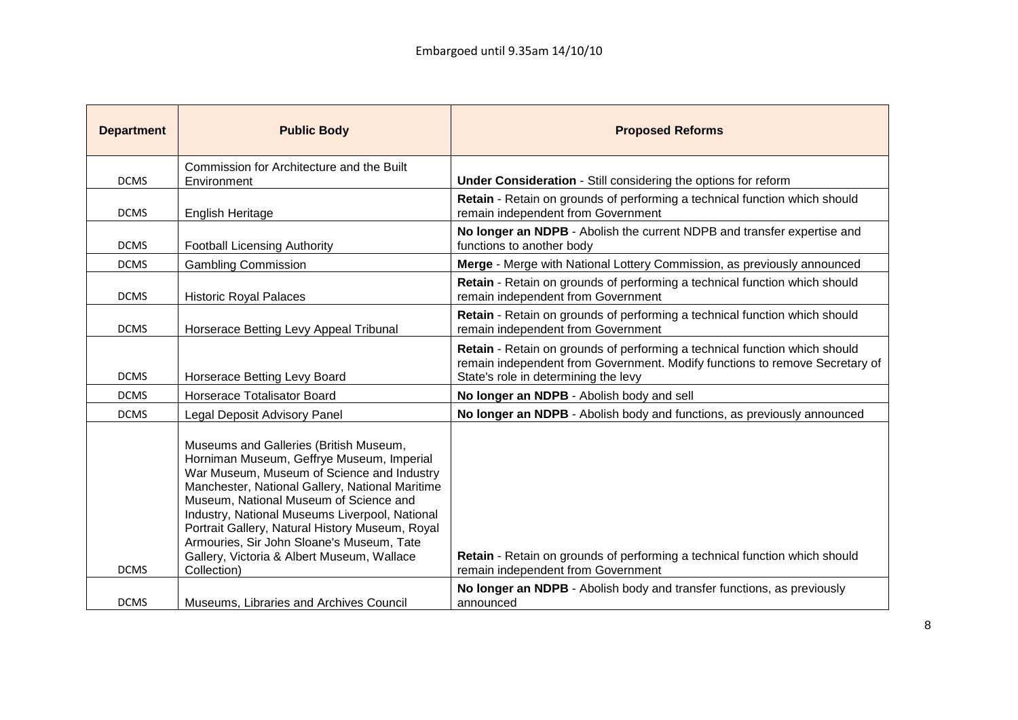| <b>Department</b> | <b>Public Body</b>                                                                                                                                                                                                                                                                                                                                                                                                                            | <b>Proposed Reforms</b>                                                                                                                                                                           |
|-------------------|-----------------------------------------------------------------------------------------------------------------------------------------------------------------------------------------------------------------------------------------------------------------------------------------------------------------------------------------------------------------------------------------------------------------------------------------------|---------------------------------------------------------------------------------------------------------------------------------------------------------------------------------------------------|
| <b>DCMS</b>       | Commission for Architecture and the Built<br>Environment                                                                                                                                                                                                                                                                                                                                                                                      | <b>Under Consideration - Still considering the options for reform</b>                                                                                                                             |
| <b>DCMS</b>       | English Heritage                                                                                                                                                                                                                                                                                                                                                                                                                              | Retain - Retain on grounds of performing a technical function which should<br>remain independent from Government                                                                                  |
| <b>DCMS</b>       | <b>Football Licensing Authority</b>                                                                                                                                                                                                                                                                                                                                                                                                           | No longer an NDPB - Abolish the current NDPB and transfer expertise and<br>functions to another body                                                                                              |
| <b>DCMS</b>       | <b>Gambling Commission</b>                                                                                                                                                                                                                                                                                                                                                                                                                    | Merge - Merge with National Lottery Commission, as previously announced                                                                                                                           |
| <b>DCMS</b>       | <b>Historic Royal Palaces</b>                                                                                                                                                                                                                                                                                                                                                                                                                 | Retain - Retain on grounds of performing a technical function which should<br>remain independent from Government                                                                                  |
| <b>DCMS</b>       | Horserace Betting Levy Appeal Tribunal                                                                                                                                                                                                                                                                                                                                                                                                        | Retain - Retain on grounds of performing a technical function which should<br>remain independent from Government                                                                                  |
| <b>DCMS</b>       | Horserace Betting Levy Board                                                                                                                                                                                                                                                                                                                                                                                                                  | Retain - Retain on grounds of performing a technical function which should<br>remain independent from Government. Modify functions to remove Secretary of<br>State's role in determining the levy |
| <b>DCMS</b>       | <b>Horserace Totalisator Board</b>                                                                                                                                                                                                                                                                                                                                                                                                            | No longer an NDPB - Abolish body and sell                                                                                                                                                         |
| <b>DCMS</b>       | Legal Deposit Advisory Panel                                                                                                                                                                                                                                                                                                                                                                                                                  | No longer an NDPB - Abolish body and functions, as previously announced                                                                                                                           |
| <b>DCMS</b>       | Museums and Galleries (British Museum,<br>Horniman Museum, Geffrye Museum, Imperial<br>War Museum, Museum of Science and Industry<br>Manchester, National Gallery, National Maritime<br>Museum, National Museum of Science and<br>Industry, National Museums Liverpool, National<br>Portrait Gallery, Natural History Museum, Royal<br>Armouries, Sir John Sloane's Museum, Tate<br>Gallery, Victoria & Albert Museum, Wallace<br>Collection) | Retain - Retain on grounds of performing a technical function which should<br>remain independent from Government                                                                                  |
| <b>DCMS</b>       | Museums, Libraries and Archives Council                                                                                                                                                                                                                                                                                                                                                                                                       | No longer an NDPB - Abolish body and transfer functions, as previously<br>announced                                                                                                               |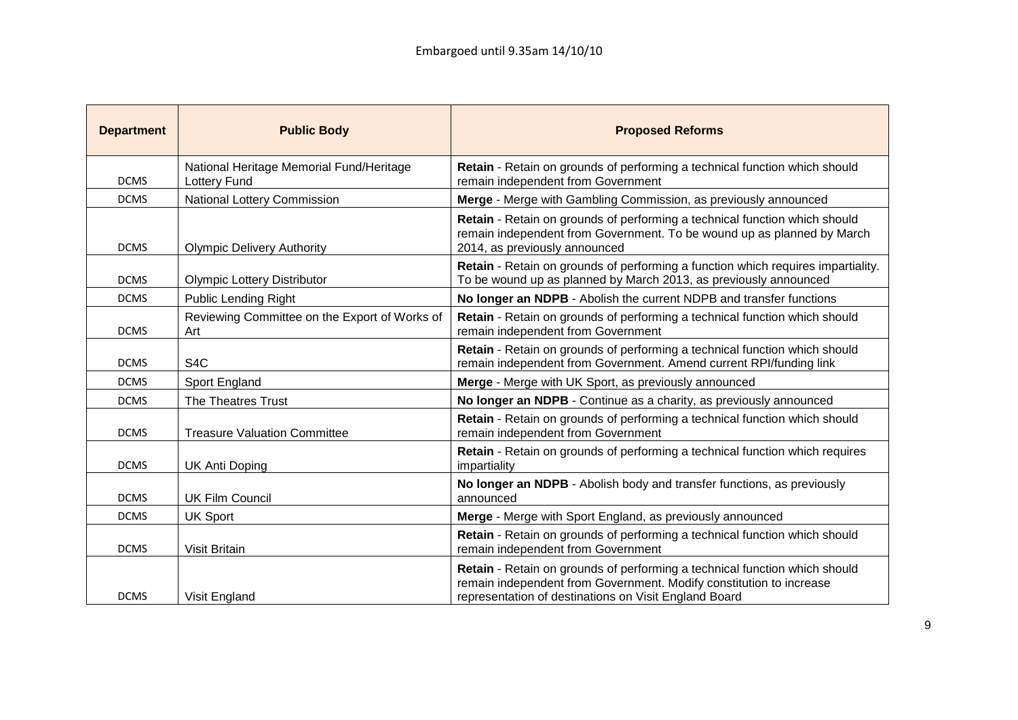| <b>Department</b> | <b>Public Body</b>                                              | <b>Proposed Reforms</b>                                                                                                                                                                                    |
|-------------------|-----------------------------------------------------------------|------------------------------------------------------------------------------------------------------------------------------------------------------------------------------------------------------------|
| <b>DCMS</b>       | National Heritage Memorial Fund/Heritage<br><b>Lottery Fund</b> | Retain - Retain on grounds of performing a technical function which should<br>remain independent from Government                                                                                           |
| <b>DCMS</b>       | <b>National Lottery Commission</b>                              | Merge - Merge with Gambling Commission, as previously announced                                                                                                                                            |
| <b>DCMS</b>       | <b>Olympic Delivery Authority</b>                               | Retain - Retain on grounds of performing a technical function which should<br>remain independent from Government. To be wound up as planned by March<br>2014, as previously announced                      |
| <b>DCMS</b>       | <b>Olympic Lottery Distributor</b>                              | Retain - Retain on grounds of performing a function which requires impartiality.<br>To be wound up as planned by March 2013, as previously announced                                                       |
| <b>DCMS</b>       | <b>Public Lending Right</b>                                     | No longer an NDPB - Abolish the current NDPB and transfer functions                                                                                                                                        |
| <b>DCMS</b>       | Reviewing Committee on the Export of Works of<br>Art            | Retain - Retain on grounds of performing a technical function which should<br>remain independent from Government                                                                                           |
| <b>DCMS</b>       | S <sub>4</sub> C                                                | Retain - Retain on grounds of performing a technical function which should<br>remain independent from Government. Amend current RPI/funding link                                                           |
| <b>DCMS</b>       | Sport England                                                   | Merge - Merge with UK Sport, as previously announced                                                                                                                                                       |
| <b>DCMS</b>       | The Theatres Trust                                              | No longer an NDPB - Continue as a charity, as previously announced                                                                                                                                         |
| <b>DCMS</b>       | <b>Treasure Valuation Committee</b>                             | Retain - Retain on grounds of performing a technical function which should<br>remain independent from Government                                                                                           |
| <b>DCMS</b>       | <b>UK Anti Doping</b>                                           | Retain - Retain on grounds of performing a technical function which requires<br>impartiality                                                                                                               |
| <b>DCMS</b>       | <b>UK Film Council</b>                                          | No longer an NDPB - Abolish body and transfer functions, as previously<br>announced                                                                                                                        |
| <b>DCMS</b>       | <b>UK Sport</b>                                                 | Merge - Merge with Sport England, as previously announced                                                                                                                                                  |
| <b>DCMS</b>       | Visit Britain                                                   | Retain - Retain on grounds of performing a technical function which should<br>remain independent from Government                                                                                           |
| <b>DCMS</b>       | Visit England                                                   | Retain - Retain on grounds of performing a technical function which should<br>remain independent from Government. Modify constitution to increase<br>representation of destinations on Visit England Board |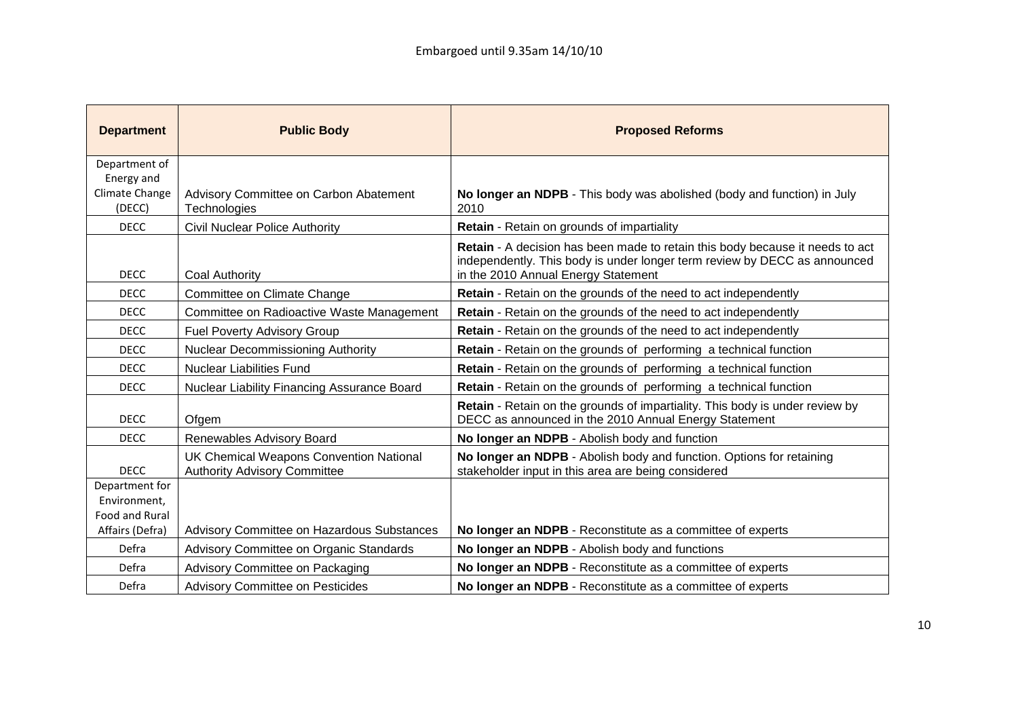| <b>Department</b>                                       | <b>Public Body</b>                                                             | <b>Proposed Reforms</b>                                                                                                                                                                           |
|---------------------------------------------------------|--------------------------------------------------------------------------------|---------------------------------------------------------------------------------------------------------------------------------------------------------------------------------------------------|
| Department of<br>Energy and<br>Climate Change<br>(DECC) | Advisory Committee on Carbon Abatement<br>Technologies                         | No longer an NDPB - This body was abolished (body and function) in July<br>2010                                                                                                                   |
| <b>DECC</b>                                             | <b>Civil Nuclear Police Authority</b>                                          | Retain - Retain on grounds of impartiality                                                                                                                                                        |
| <b>DECC</b>                                             | <b>Coal Authority</b>                                                          | Retain - A decision has been made to retain this body because it needs to act<br>independently. This body is under longer term review by DECC as announced<br>in the 2010 Annual Energy Statement |
| <b>DECC</b>                                             | Committee on Climate Change                                                    | <b>Retain</b> - Retain on the grounds of the need to act independently                                                                                                                            |
| <b>DECC</b>                                             | Committee on Radioactive Waste Management                                      | Retain - Retain on the grounds of the need to act independently                                                                                                                                   |
| <b>DECC</b>                                             | <b>Fuel Poverty Advisory Group</b>                                             | Retain - Retain on the grounds of the need to act independently                                                                                                                                   |
| <b>DECC</b>                                             | <b>Nuclear Decommissioning Authority</b>                                       | Retain - Retain on the grounds of performing a technical function                                                                                                                                 |
| <b>DECC</b>                                             | <b>Nuclear Liabilities Fund</b>                                                | Retain - Retain on the grounds of performing a technical function                                                                                                                                 |
| <b>DECC</b>                                             | Nuclear Liability Financing Assurance Board                                    | <b>Retain</b> - Retain on the grounds of performing a technical function                                                                                                                          |
| <b>DECC</b>                                             | Ofgem                                                                          | Retain - Retain on the grounds of impartiality. This body is under review by<br>DECC as announced in the 2010 Annual Energy Statement                                                             |
| <b>DECC</b>                                             | Renewables Advisory Board                                                      | No longer an NDPB - Abolish body and function                                                                                                                                                     |
| <b>DECC</b>                                             | UK Chemical Weapons Convention National<br><b>Authority Advisory Committee</b> | No longer an NDPB - Abolish body and function. Options for retaining<br>stakeholder input in this area are being considered                                                                       |
| Department for<br>Environment.<br>Food and Rural        |                                                                                |                                                                                                                                                                                                   |
| Affairs (Defra)                                         | Advisory Committee on Hazardous Substances                                     | No longer an NDPB - Reconstitute as a committee of experts                                                                                                                                        |
| Defra                                                   | Advisory Committee on Organic Standards                                        | No longer an NDPB - Abolish body and functions                                                                                                                                                    |
| Defra                                                   | Advisory Committee on Packaging                                                | No longer an NDPB - Reconstitute as a committee of experts                                                                                                                                        |
| Defra                                                   | <b>Advisory Committee on Pesticides</b>                                        | No longer an NDPB - Reconstitute as a committee of experts                                                                                                                                        |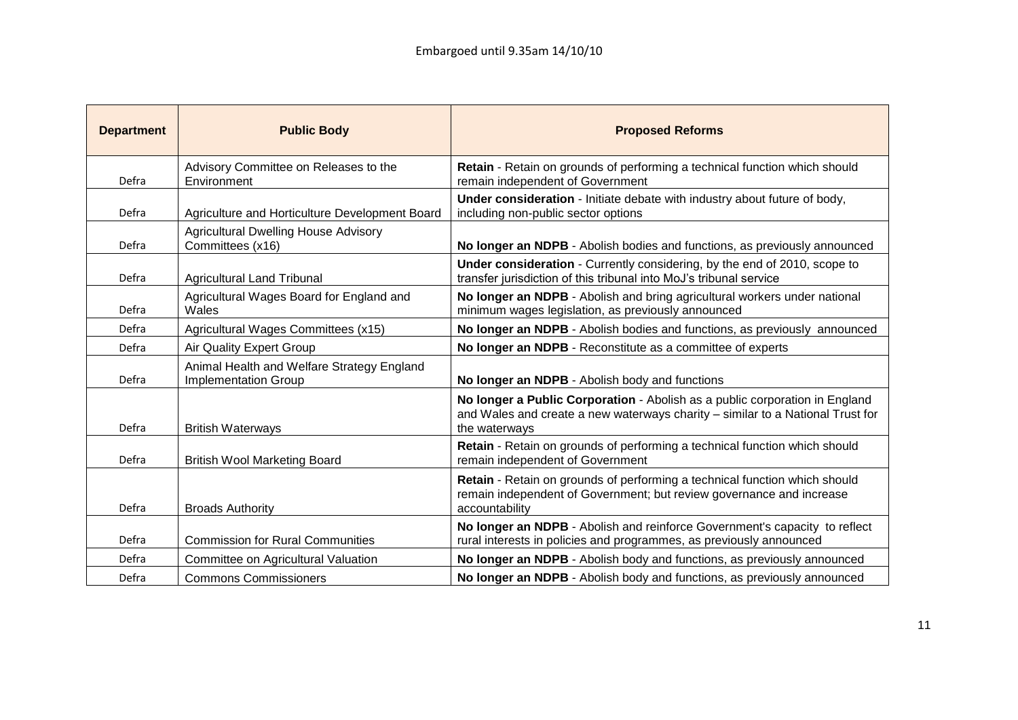| <b>Department</b> | <b>Public Body</b>                                                        | <b>Proposed Reforms</b>                                                                                                                                                        |
|-------------------|---------------------------------------------------------------------------|--------------------------------------------------------------------------------------------------------------------------------------------------------------------------------|
| Defra             | Advisory Committee on Releases to the<br>Environment                      | Retain - Retain on grounds of performing a technical function which should<br>remain independent of Government                                                                 |
| Defra             | Agriculture and Horticulture Development Board                            | Under consideration - Initiate debate with industry about future of body,<br>including non-public sector options                                                               |
| Defra             | <b>Agricultural Dwelling House Advisory</b><br>Committees (x16)           | No longer an NDPB - Abolish bodies and functions, as previously announced                                                                                                      |
| Defra             | <b>Agricultural Land Tribunal</b>                                         | Under consideration - Currently considering, by the end of 2010, scope to<br>transfer jurisdiction of this tribunal into MoJ's tribunal service                                |
| Defra             | Agricultural Wages Board for England and<br>Wales                         | No longer an NDPB - Abolish and bring agricultural workers under national<br>minimum wages legislation, as previously announced                                                |
| Defra             | Agricultural Wages Committees (x15)                                       | No longer an NDPB - Abolish bodies and functions, as previously announced                                                                                                      |
| Defra             | Air Quality Expert Group                                                  | No longer an NDPB - Reconstitute as a committee of experts                                                                                                                     |
| Defra             | Animal Health and Welfare Strategy England<br><b>Implementation Group</b> | No longer an NDPB - Abolish body and functions                                                                                                                                 |
| Defra             | <b>British Waterways</b>                                                  | No longer a Public Corporation - Abolish as a public corporation in England<br>and Wales and create a new waterways charity - similar to a National Trust for<br>the waterways |
| Defra             | <b>British Wool Marketing Board</b>                                       | Retain - Retain on grounds of performing a technical function which should<br>remain independent of Government                                                                 |
| Defra             | <b>Broads Authority</b>                                                   | Retain - Retain on grounds of performing a technical function which should<br>remain independent of Government; but review governance and increase<br>accountability           |
| Defra             | <b>Commission for Rural Communities</b>                                   | No longer an NDPB - Abolish and reinforce Government's capacity to reflect<br>rural interests in policies and programmes, as previously announced                              |
| Defra             | Committee on Agricultural Valuation                                       | No longer an NDPB - Abolish body and functions, as previously announced                                                                                                        |
| Defra             | <b>Commons Commissioners</b>                                              | No longer an NDPB - Abolish body and functions, as previously announced                                                                                                        |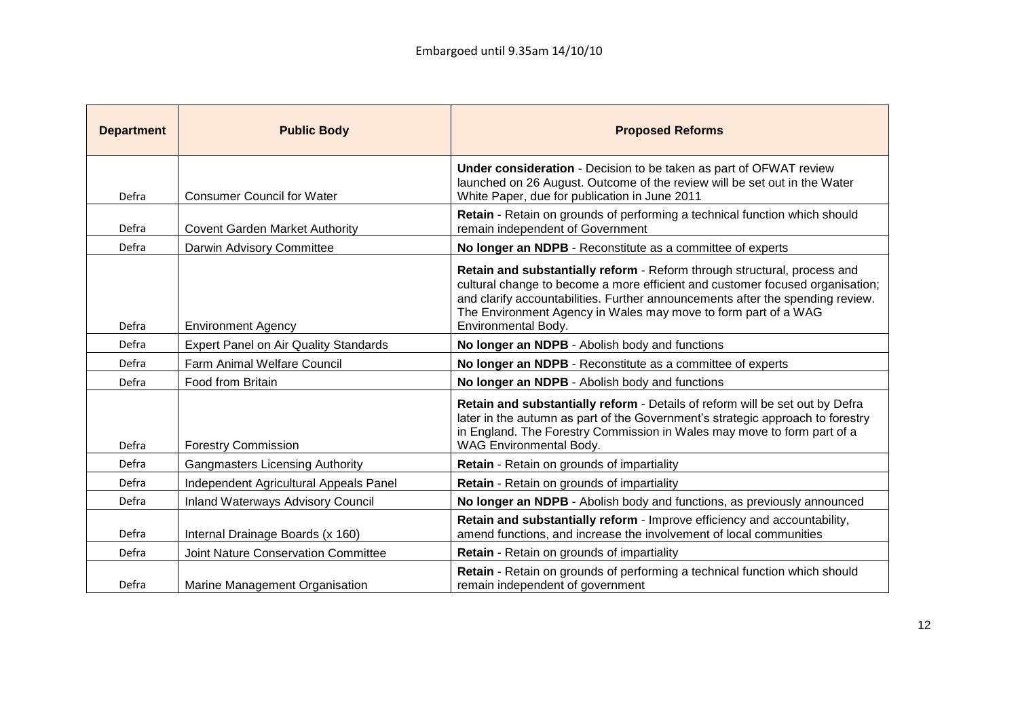| <b>Department</b> | <b>Public Body</b>                           | <b>Proposed Reforms</b>                                                                                                                                                                                                                                                                                                              |
|-------------------|----------------------------------------------|--------------------------------------------------------------------------------------------------------------------------------------------------------------------------------------------------------------------------------------------------------------------------------------------------------------------------------------|
| Defra             | <b>Consumer Council for Water</b>            | Under consideration - Decision to be taken as part of OFWAT review<br>launched on 26 August. Outcome of the review will be set out in the Water<br>White Paper, due for publication in June 2011                                                                                                                                     |
| Defra             | <b>Covent Garden Market Authority</b>        | Retain - Retain on grounds of performing a technical function which should<br>remain independent of Government                                                                                                                                                                                                                       |
| Defra             | Darwin Advisory Committee                    | No longer an NDPB - Reconstitute as a committee of experts                                                                                                                                                                                                                                                                           |
| Defra             | <b>Environment Agency</b>                    | Retain and substantially reform - Reform through structural, process and<br>cultural change to become a more efficient and customer focused organisation;<br>and clarify accountabilities. Further announcements after the spending review.<br>The Environment Agency in Wales may move to form part of a WAG<br>Environmental Body. |
| Defra             | <b>Expert Panel on Air Quality Standards</b> | No longer an NDPB - Abolish body and functions                                                                                                                                                                                                                                                                                       |
| Defra             | <b>Farm Animal Welfare Council</b>           | No longer an NDPB - Reconstitute as a committee of experts                                                                                                                                                                                                                                                                           |
| Defra             | Food from Britain                            | No longer an NDPB - Abolish body and functions                                                                                                                                                                                                                                                                                       |
| Defra             | <b>Forestry Commission</b>                   | Retain and substantially reform - Details of reform will be set out by Defra<br>later in the autumn as part of the Government's strategic approach to forestry<br>in England. The Forestry Commission in Wales may move to form part of a<br>WAG Environmental Body.                                                                 |
| Defra             | <b>Gangmasters Licensing Authority</b>       | Retain - Retain on grounds of impartiality                                                                                                                                                                                                                                                                                           |
| Defra             | Independent Agricultural Appeals Panel       | Retain - Retain on grounds of impartiality                                                                                                                                                                                                                                                                                           |
| Defra             | <b>Inland Waterways Advisory Council</b>     | No longer an NDPB - Abolish body and functions, as previously announced                                                                                                                                                                                                                                                              |
| Defra             | Internal Drainage Boards (x 160)             | Retain and substantially reform - Improve efficiency and accountability,<br>amend functions, and increase the involvement of local communities                                                                                                                                                                                       |
| Defra             | <b>Joint Nature Conservation Committee</b>   | Retain - Retain on grounds of impartiality                                                                                                                                                                                                                                                                                           |
| Defra             | Marine Management Organisation               | Retain - Retain on grounds of performing a technical function which should<br>remain independent of government                                                                                                                                                                                                                       |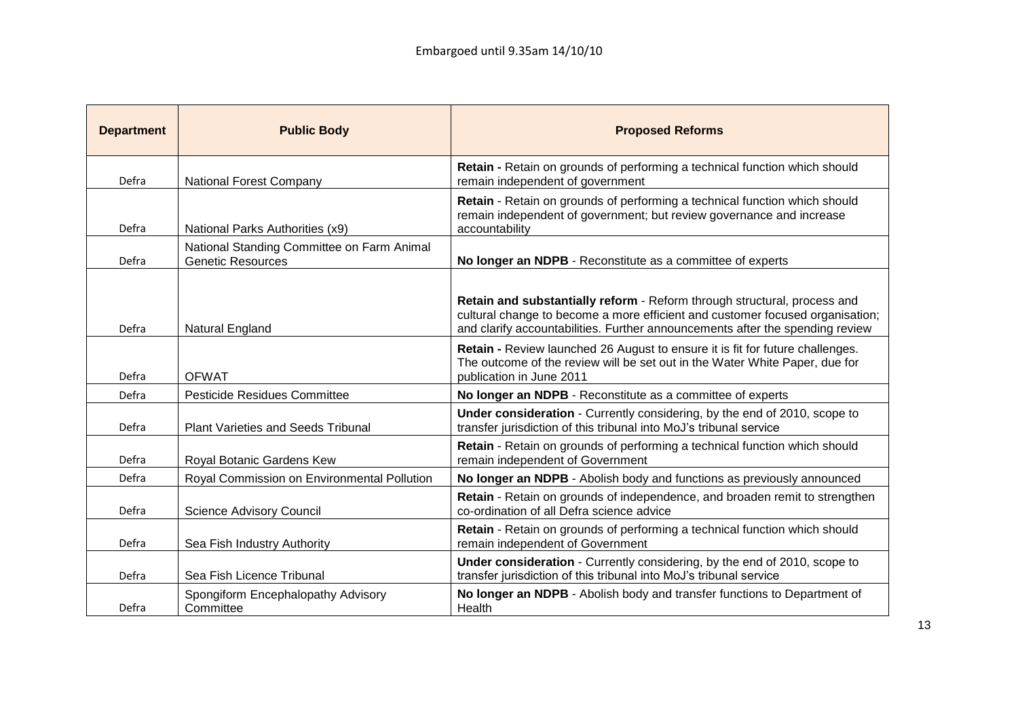| <b>Department</b> | <b>Public Body</b>                                                     | <b>Proposed Reforms</b>                                                                                                                                                                                                                    |
|-------------------|------------------------------------------------------------------------|--------------------------------------------------------------------------------------------------------------------------------------------------------------------------------------------------------------------------------------------|
| Defra             | <b>National Forest Company</b>                                         | Retain - Retain on grounds of performing a technical function which should<br>remain independent of government                                                                                                                             |
| Defra             | National Parks Authorities (x9)                                        | Retain - Retain on grounds of performing a technical function which should<br>remain independent of government; but review governance and increase<br>accountability                                                                       |
| Defra             | National Standing Committee on Farm Animal<br><b>Genetic Resources</b> | No longer an NDPB - Reconstitute as a committee of experts                                                                                                                                                                                 |
| Defra             | Natural England                                                        | Retain and substantially reform - Reform through structural, process and<br>cultural change to become a more efficient and customer focused organisation;<br>and clarify accountabilities. Further announcements after the spending review |
| Defra             | <b>OFWAT</b>                                                           | Retain - Review launched 26 August to ensure it is fit for future challenges.<br>The outcome of the review will be set out in the Water White Paper, due for<br>publication in June 2011                                                   |
| Defra             | Pesticide Residues Committee                                           | No longer an NDPB - Reconstitute as a committee of experts                                                                                                                                                                                 |
| Defra             | <b>Plant Varieties and Seeds Tribunal</b>                              | Under consideration - Currently considering, by the end of 2010, scope to<br>transfer jurisdiction of this tribunal into MoJ's tribunal service                                                                                            |
| Defra             | Royal Botanic Gardens Kew                                              | Retain - Retain on grounds of performing a technical function which should<br>remain independent of Government                                                                                                                             |
| Defra             | Royal Commission on Environmental Pollution                            | No longer an NDPB - Abolish body and functions as previously announced                                                                                                                                                                     |
| Defra             | <b>Science Advisory Council</b>                                        | Retain - Retain on grounds of independence, and broaden remit to strengthen<br>co-ordination of all Defra science advice                                                                                                                   |
| Defra             | Sea Fish Industry Authority                                            | Retain - Retain on grounds of performing a technical function which should<br>remain independent of Government                                                                                                                             |
| Defra             | Sea Fish Licence Tribunal                                              | Under consideration - Currently considering, by the end of 2010, scope to<br>transfer jurisdiction of this tribunal into MoJ's tribunal service                                                                                            |
| Defra             | Spongiform Encephalopathy Advisory<br>Committee                        | No longer an NDPB - Abolish body and transfer functions to Department of<br>Health                                                                                                                                                         |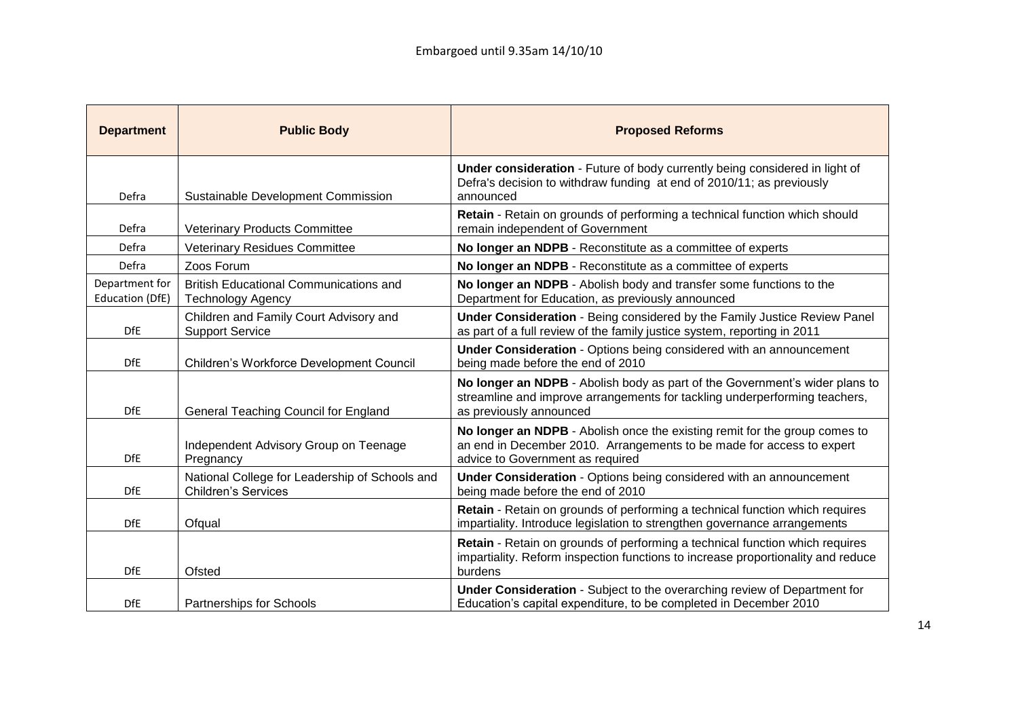| <b>Department</b>                        | <b>Public Body</b>                                                           | <b>Proposed Reforms</b>                                                                                                                                                                 |
|------------------------------------------|------------------------------------------------------------------------------|-----------------------------------------------------------------------------------------------------------------------------------------------------------------------------------------|
| Defra                                    | Sustainable Development Commission                                           | Under consideration - Future of body currently being considered in light of<br>Defra's decision to withdraw funding at end of 2010/11; as previously<br>announced                       |
| Defra                                    | <b>Veterinary Products Committee</b>                                         | Retain - Retain on grounds of performing a technical function which should<br>remain independent of Government                                                                          |
| Defra                                    | <b>Veterinary Residues Committee</b>                                         | No longer an NDPB - Reconstitute as a committee of experts                                                                                                                              |
| Defra                                    | Zoos Forum                                                                   | No longer an NDPB - Reconstitute as a committee of experts                                                                                                                              |
| Department for<br><b>Education (DfE)</b> | <b>British Educational Communications and</b><br><b>Technology Agency</b>    | No longer an NDPB - Abolish body and transfer some functions to the<br>Department for Education, as previously announced                                                                |
| <b>DfE</b>                               | Children and Family Court Advisory and<br><b>Support Service</b>             | <b>Under Consideration</b> - Being considered by the Family Justice Review Panel<br>as part of a full review of the family justice system, reporting in 2011                            |
| <b>DfE</b>                               | <b>Children's Workforce Development Council</b>                              | <b>Under Consideration</b> - Options being considered with an announcement<br>being made before the end of 2010                                                                         |
| <b>DfE</b>                               | General Teaching Council for England                                         | No longer an NDPB - Abolish body as part of the Government's wider plans to<br>streamline and improve arrangements for tackling underperforming teachers,<br>as previously announced    |
| <b>DfE</b>                               | Independent Advisory Group on Teenage<br>Pregnancy                           | No longer an NDPB - Abolish once the existing remit for the group comes to<br>an end in December 2010. Arrangements to be made for access to expert<br>advice to Government as required |
| <b>DfE</b>                               | National College for Leadership of Schools and<br><b>Children's Services</b> | <b>Under Consideration</b> - Options being considered with an announcement<br>being made before the end of 2010                                                                         |
| <b>DfE</b>                               | Ofqual                                                                       | Retain - Retain on grounds of performing a technical function which requires<br>impartiality. Introduce legislation to strengthen governance arrangements                               |
| <b>DfE</b>                               | Ofsted                                                                       | Retain - Retain on grounds of performing a technical function which requires<br>impartiality. Reform inspection functions to increase proportionality and reduce<br>burdens             |
| <b>DfE</b>                               | <b>Partnerships for Schools</b>                                              | <b>Under Consideration</b> - Subject to the overarching review of Department for<br>Education's capital expenditure, to be completed in December 2010                                   |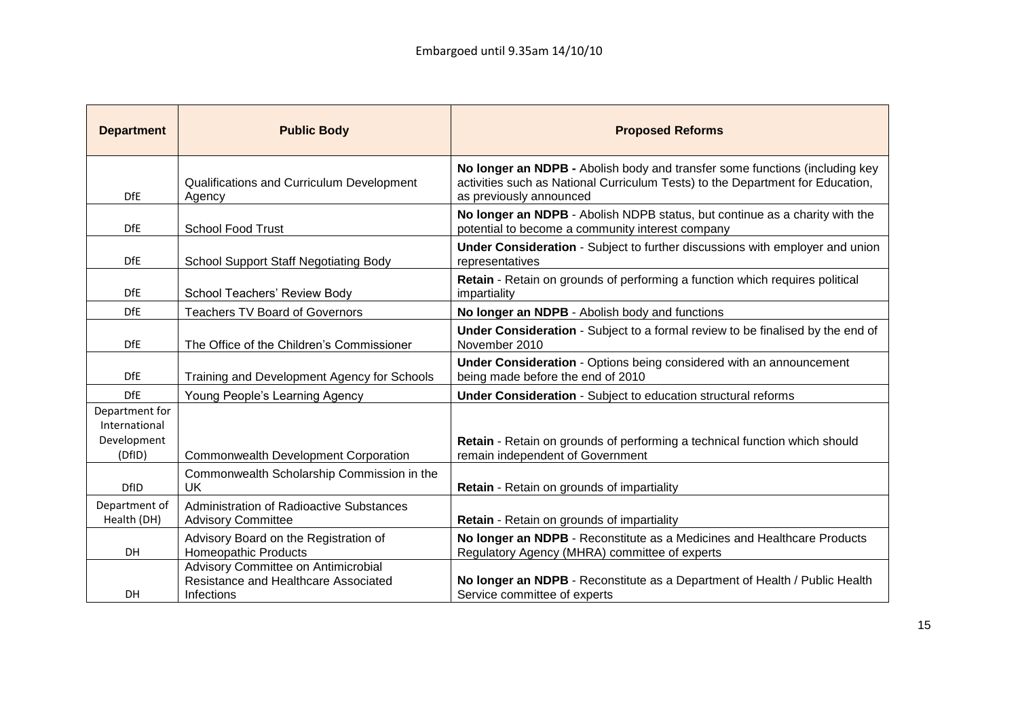| <b>Department</b>                                        | <b>Public Body</b>                                                                        | <b>Proposed Reforms</b>                                                                                                                                                                  |
|----------------------------------------------------------|-------------------------------------------------------------------------------------------|------------------------------------------------------------------------------------------------------------------------------------------------------------------------------------------|
| <b>DfE</b>                                               | Qualifications and Curriculum Development<br>Agency                                       | No longer an NDPB - Abolish body and transfer some functions (including key<br>activities such as National Curriculum Tests) to the Department for Education,<br>as previously announced |
| <b>DfE</b>                                               | <b>School Food Trust</b>                                                                  | No longer an NDPB - Abolish NDPB status, but continue as a charity with the<br>potential to become a community interest company                                                          |
| <b>DfE</b>                                               | <b>School Support Staff Negotiating Body</b>                                              | Under Consideration - Subject to further discussions with employer and union<br>representatives                                                                                          |
| <b>DfE</b>                                               | School Teachers' Review Body                                                              | Retain - Retain on grounds of performing a function which requires political<br>impartiality                                                                                             |
| <b>DfE</b>                                               | <b>Teachers TV Board of Governors</b>                                                     | No longer an NDPB - Abolish body and functions                                                                                                                                           |
| <b>DfE</b>                                               | The Office of the Children's Commissioner                                                 | Under Consideration - Subject to a formal review to be finalised by the end of<br>November 2010                                                                                          |
| <b>DfE</b>                                               | Training and Development Agency for Schools                                               | Under Consideration - Options being considered with an announcement<br>being made before the end of 2010                                                                                 |
| <b>DfE</b>                                               | Young People's Learning Agency                                                            | <b>Under Consideration - Subject to education structural reforms</b>                                                                                                                     |
| Department for<br>International<br>Development<br>(DfID) | Commonwealth Development Corporation                                                      | Retain - Retain on grounds of performing a technical function which should<br>remain independent of Government                                                                           |
| <b>DfID</b>                                              | Commonwealth Scholarship Commission in the<br><b>UK</b>                                   | Retain - Retain on grounds of impartiality                                                                                                                                               |
| Department of<br>Health (DH)                             | Administration of Radioactive Substances<br><b>Advisory Committee</b>                     | Retain - Retain on grounds of impartiality                                                                                                                                               |
| DH                                                       | Advisory Board on the Registration of<br>Homeopathic Products                             | No longer an NDPB - Reconstitute as a Medicines and Healthcare Products<br>Regulatory Agency (MHRA) committee of experts                                                                 |
| DH                                                       | Advisory Committee on Antimicrobial<br>Resistance and Healthcare Associated<br>Infections | No longer an NDPB - Reconstitute as a Department of Health / Public Health<br>Service committee of experts                                                                               |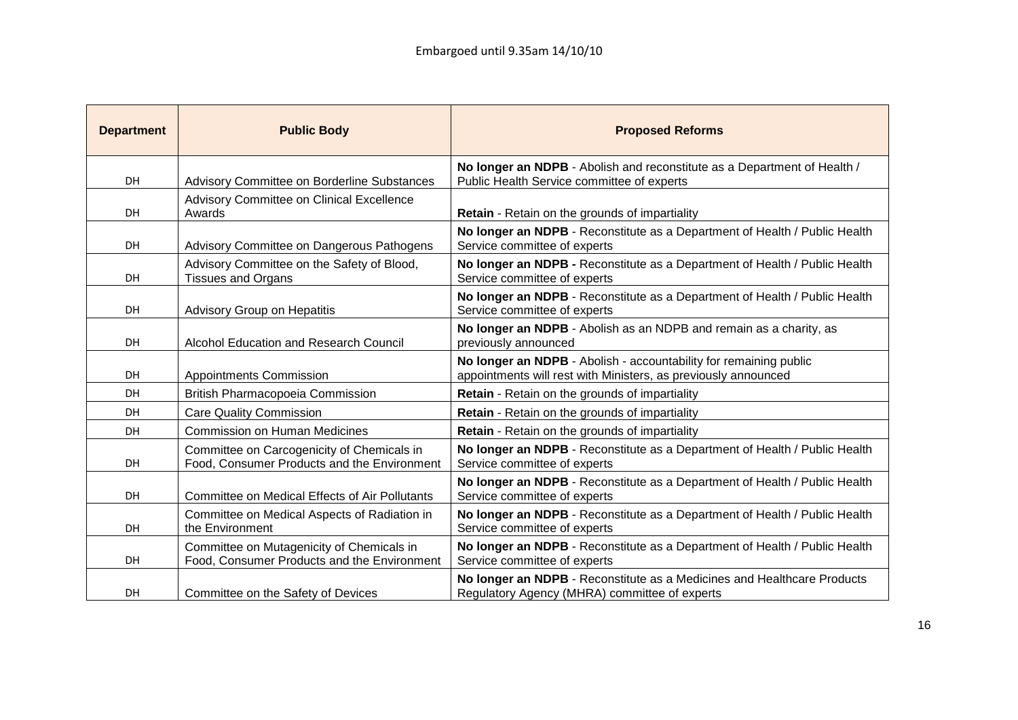| <b>Department</b> | <b>Public Body</b>                                                                        | <b>Proposed Reforms</b>                                                                                                             |
|-------------------|-------------------------------------------------------------------------------------------|-------------------------------------------------------------------------------------------------------------------------------------|
| DH                | Advisory Committee on Borderline Substances                                               | No longer an NDPB - Abolish and reconstitute as a Department of Health /<br>Public Health Service committee of experts              |
| DH                | Advisory Committee on Clinical Excellence<br>Awards                                       | Retain - Retain on the grounds of impartiality                                                                                      |
| DH                | Advisory Committee on Dangerous Pathogens                                                 | No longer an NDPB - Reconstitute as a Department of Health / Public Health<br>Service committee of experts                          |
| DH                | Advisory Committee on the Safety of Blood,<br><b>Tissues and Organs</b>                   | No longer an NDPB - Reconstitute as a Department of Health / Public Health<br>Service committee of experts                          |
| DH                | Advisory Group on Hepatitis                                                               | No longer an NDPB - Reconstitute as a Department of Health / Public Health<br>Service committee of experts                          |
| DH                | Alcohol Education and Research Council                                                    | No longer an NDPB - Abolish as an NDPB and remain as a charity, as<br>previously announced                                          |
| DH                | Appointments Commission                                                                   | No longer an NDPB - Abolish - accountability for remaining public<br>appointments will rest with Ministers, as previously announced |
| DH                | <b>British Pharmacopoeia Commission</b>                                                   | Retain - Retain on the grounds of impartiality                                                                                      |
| DH                | <b>Care Quality Commission</b>                                                            | Retain - Retain on the grounds of impartiality                                                                                      |
| <b>DH</b>         | <b>Commission on Human Medicines</b>                                                      | <b>Retain</b> - Retain on the grounds of impartiality                                                                               |
| DH                | Committee on Carcogenicity of Chemicals in<br>Food, Consumer Products and the Environment | No longer an NDPB - Reconstitute as a Department of Health / Public Health<br>Service committee of experts                          |
| DH                | Committee on Medical Effects of Air Pollutants                                            | No longer an NDPB - Reconstitute as a Department of Health / Public Health<br>Service committee of experts                          |
| DH                | Committee on Medical Aspects of Radiation in<br>the Environment                           | No longer an NDPB - Reconstitute as a Department of Health / Public Health<br>Service committee of experts                          |
| DH                | Committee on Mutagenicity of Chemicals in<br>Food, Consumer Products and the Environment  | No longer an NDPB - Reconstitute as a Department of Health / Public Health<br>Service committee of experts                          |
| DH                | Committee on the Safety of Devices                                                        | No longer an NDPB - Reconstitute as a Medicines and Healthcare Products<br>Regulatory Agency (MHRA) committee of experts            |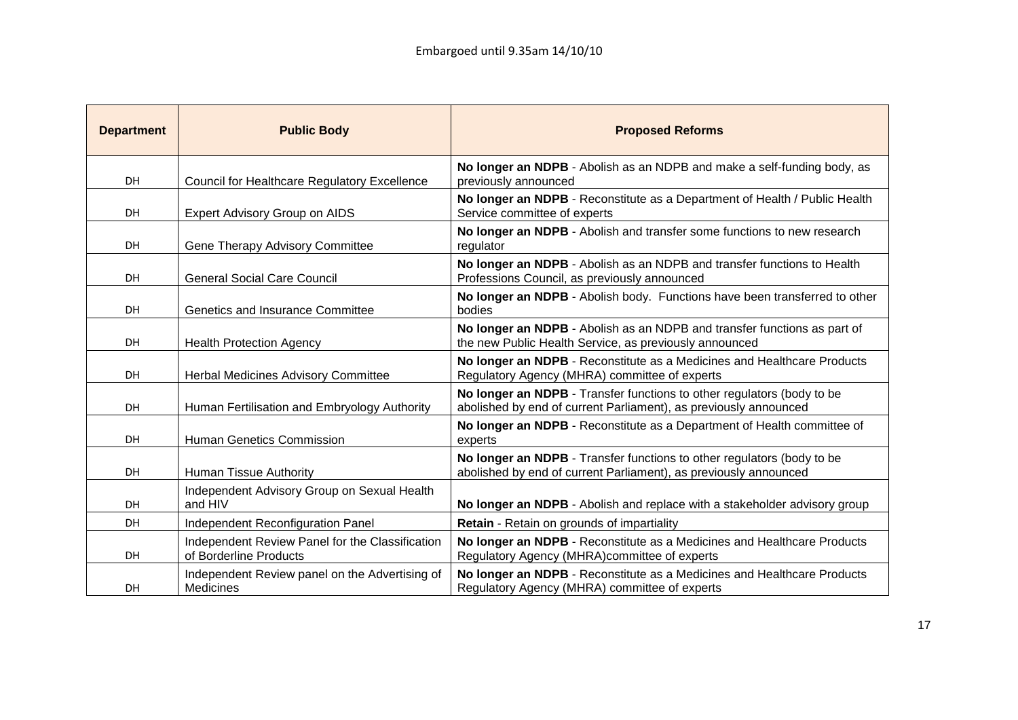| <b>Department</b> | <b>Public Body</b>                                                        | <b>Proposed Reforms</b>                                                                                                                    |
|-------------------|---------------------------------------------------------------------------|--------------------------------------------------------------------------------------------------------------------------------------------|
| <b>DH</b>         | <b>Council for Healthcare Regulatory Excellence</b>                       | No longer an NDPB - Abolish as an NDPB and make a self-funding body, as<br>previously announced                                            |
| <b>DH</b>         | Expert Advisory Group on AIDS                                             | No longer an NDPB - Reconstitute as a Department of Health / Public Health<br>Service committee of experts                                 |
| <b>DH</b>         | Gene Therapy Advisory Committee                                           | No longer an NDPB - Abolish and transfer some functions to new research<br>regulator                                                       |
| <b>DH</b>         | <b>General Social Care Council</b>                                        | No longer an NDPB - Abolish as an NDPB and transfer functions to Health<br>Professions Council, as previously announced                    |
| <b>DH</b>         | Genetics and Insurance Committee                                          | No longer an NDPB - Abolish body. Functions have been transferred to other<br>bodies                                                       |
| DH                | <b>Health Protection Agency</b>                                           | No longer an NDPB - Abolish as an NDPB and transfer functions as part of<br>the new Public Health Service, as previously announced         |
| DH                | <b>Herbal Medicines Advisory Committee</b>                                | No longer an NDPB - Reconstitute as a Medicines and Healthcare Products<br>Regulatory Agency (MHRA) committee of experts                   |
| <b>DH</b>         | Human Fertilisation and Embryology Authority                              | No longer an NDPB - Transfer functions to other regulators (body to be<br>abolished by end of current Parliament), as previously announced |
| DH                | Human Genetics Commission                                                 | No longer an NDPB - Reconstitute as a Department of Health committee of<br>experts                                                         |
| DH                | <b>Human Tissue Authority</b>                                             | No longer an NDPB - Transfer functions to other regulators (body to be<br>abolished by end of current Parliament), as previously announced |
| DH                | Independent Advisory Group on Sexual Health<br>and HIV                    | No longer an NDPB - Abolish and replace with a stakeholder advisory group                                                                  |
| DH                | Independent Reconfiguration Panel                                         | Retain - Retain on grounds of impartiality                                                                                                 |
| DH                | Independent Review Panel for the Classification<br>of Borderline Products | No longer an NDPB - Reconstitute as a Medicines and Healthcare Products<br>Regulatory Agency (MHRA)committee of experts                    |
| DH                | Independent Review panel on the Advertising of<br><b>Medicines</b>        | No longer an NDPB - Reconstitute as a Medicines and Healthcare Products<br>Regulatory Agency (MHRA) committee of experts                   |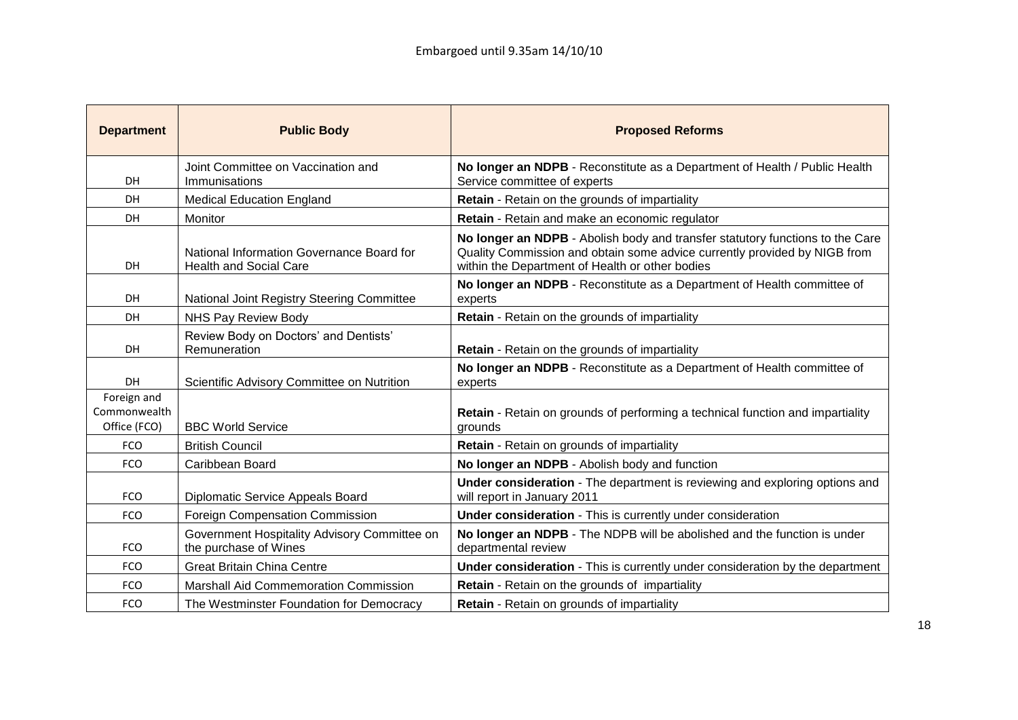| <b>Department</b>                           | <b>Public Body</b>                                                         | <b>Proposed Reforms</b>                                                                                                                                                                                       |
|---------------------------------------------|----------------------------------------------------------------------------|---------------------------------------------------------------------------------------------------------------------------------------------------------------------------------------------------------------|
| DH                                          | Joint Committee on Vaccination and<br>Immunisations                        | No longer an NDPB - Reconstitute as a Department of Health / Public Health<br>Service committee of experts                                                                                                    |
| DH                                          | <b>Medical Education England</b>                                           | Retain - Retain on the grounds of impartiality                                                                                                                                                                |
| DH                                          | Monitor                                                                    | Retain - Retain and make an economic regulator                                                                                                                                                                |
| DH                                          | National Information Governance Board for<br><b>Health and Social Care</b> | No longer an NDPB - Abolish body and transfer statutory functions to the Care<br>Quality Commission and obtain some advice currently provided by NIGB from<br>within the Department of Health or other bodies |
| DH                                          | National Joint Registry Steering Committee                                 | No longer an NDPB - Reconstitute as a Department of Health committee of<br>experts                                                                                                                            |
| DH                                          | NHS Pay Review Body                                                        | Retain - Retain on the grounds of impartiality                                                                                                                                                                |
| DH                                          | Review Body on Doctors' and Dentists'<br>Remuneration                      | Retain - Retain on the grounds of impartiality                                                                                                                                                                |
| DH                                          | Scientific Advisory Committee on Nutrition                                 | No longer an NDPB - Reconstitute as a Department of Health committee of<br>experts                                                                                                                            |
| Foreign and<br>Commonwealth<br>Office (FCO) | <b>BBC World Service</b>                                                   | Retain - Retain on grounds of performing a technical function and impartiality<br>grounds                                                                                                                     |
| <b>FCO</b>                                  | <b>British Council</b>                                                     | Retain - Retain on grounds of impartiality                                                                                                                                                                    |
| <b>FCO</b>                                  | Caribbean Board                                                            | No longer an NDPB - Abolish body and function                                                                                                                                                                 |
| <b>FCO</b>                                  | Diplomatic Service Appeals Board                                           | <b>Under consideration</b> - The department is reviewing and exploring options and<br>will report in January 2011                                                                                             |
| <b>FCO</b>                                  | Foreign Compensation Commission                                            | Under consideration - This is currently under consideration                                                                                                                                                   |
| <b>FCO</b>                                  | Government Hospitality Advisory Committee on<br>the purchase of Wines      | No longer an NDPB - The NDPB will be abolished and the function is under<br>departmental review                                                                                                               |
| <b>FCO</b>                                  | <b>Great Britain China Centre</b>                                          | <b>Under consideration</b> - This is currently under consideration by the department                                                                                                                          |
| <b>FCO</b>                                  | <b>Marshall Aid Commemoration Commission</b>                               | Retain - Retain on the grounds of impartiality                                                                                                                                                                |
| <b>FCO</b>                                  | The Westminster Foundation for Democracy                                   | Retain - Retain on grounds of impartiality                                                                                                                                                                    |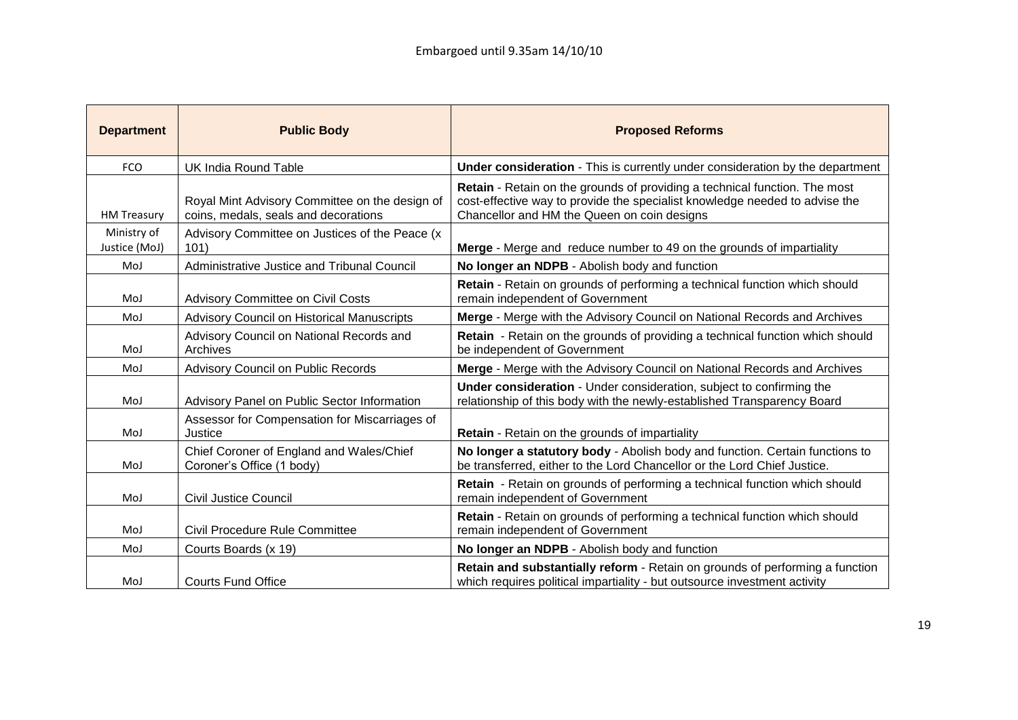| <b>Department</b>            | <b>Public Body</b>                                                                     | <b>Proposed Reforms</b>                                                                                                                                                                                  |
|------------------------------|----------------------------------------------------------------------------------------|----------------------------------------------------------------------------------------------------------------------------------------------------------------------------------------------------------|
| <b>FCO</b>                   | <b>UK India Round Table</b>                                                            | <b>Under consideration</b> - This is currently under consideration by the department                                                                                                                     |
| <b>HM Treasury</b>           | Royal Mint Advisory Committee on the design of<br>coins, medals, seals and decorations | Retain - Retain on the grounds of providing a technical function. The most<br>cost-effective way to provide the specialist knowledge needed to advise the<br>Chancellor and HM the Queen on coin designs |
| Ministry of<br>Justice (MoJ) | Advisory Committee on Justices of the Peace (x<br>101)                                 | Merge - Merge and reduce number to 49 on the grounds of impartiality                                                                                                                                     |
| MoJ                          | Administrative Justice and Tribunal Council                                            | No longer an NDPB - Abolish body and function                                                                                                                                                            |
| MoJ                          | <b>Advisory Committee on Civil Costs</b>                                               | Retain - Retain on grounds of performing a technical function which should<br>remain independent of Government                                                                                           |
| MoJ                          | <b>Advisory Council on Historical Manuscripts</b>                                      | Merge - Merge with the Advisory Council on National Records and Archives                                                                                                                                 |
| MoJ                          | Advisory Council on National Records and<br>Archives                                   | Retain - Retain on the grounds of providing a technical function which should<br>be independent of Government                                                                                            |
| MoJ                          | <b>Advisory Council on Public Records</b>                                              | Merge - Merge with the Advisory Council on National Records and Archives                                                                                                                                 |
| MoJ                          | Advisory Panel on Public Sector Information                                            | Under consideration - Under consideration, subject to confirming the<br>relationship of this body with the newly-established Transparency Board                                                          |
| MoJ                          | Assessor for Compensation for Miscarriages of<br>Justice                               | Retain - Retain on the grounds of impartiality                                                                                                                                                           |
| MoJ                          | Chief Coroner of England and Wales/Chief<br>Coroner's Office (1 body)                  | No longer a statutory body - Abolish body and function. Certain functions to<br>be transferred, either to the Lord Chancellor or the Lord Chief Justice.                                                 |
| MoJ                          | <b>Civil Justice Council</b>                                                           | Retain - Retain on grounds of performing a technical function which should<br>remain independent of Government                                                                                           |
| MoJ                          | Civil Procedure Rule Committee                                                         | Retain - Retain on grounds of performing a technical function which should<br>remain independent of Government                                                                                           |
| MoJ                          | Courts Boards (x 19)                                                                   | No longer an NDPB - Abolish body and function                                                                                                                                                            |
| MoJ                          | <b>Courts Fund Office</b>                                                              | Retain and substantially reform - Retain on grounds of performing a function<br>which requires political impartiality - but outsource investment activity                                                |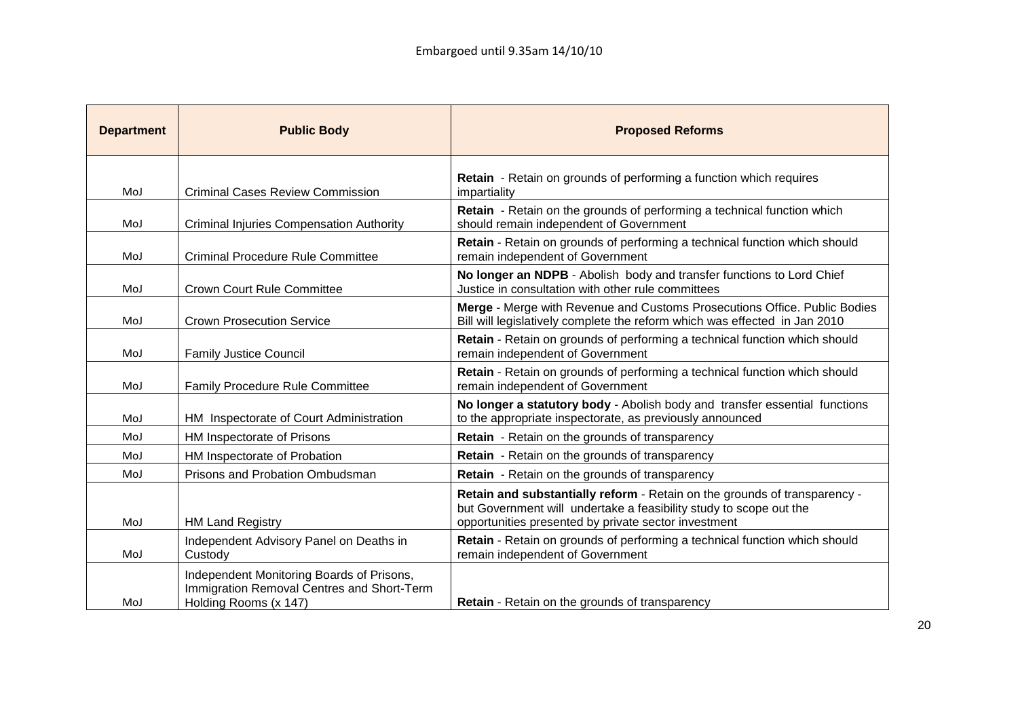| <b>Department</b> | <b>Public Body</b>                                                                                               | <b>Proposed Reforms</b>                                                                                                                                                                                 |
|-------------------|------------------------------------------------------------------------------------------------------------------|---------------------------------------------------------------------------------------------------------------------------------------------------------------------------------------------------------|
| MoJ               | <b>Criminal Cases Review Commission</b>                                                                          | Retain - Retain on grounds of performing a function which requires<br>impartiality                                                                                                                      |
| MoJ               | <b>Criminal Injuries Compensation Authority</b>                                                                  | Retain - Retain on the grounds of performing a technical function which<br>should remain independent of Government                                                                                      |
| MoJ               | <b>Criminal Procedure Rule Committee</b>                                                                         | Retain - Retain on grounds of performing a technical function which should<br>remain independent of Government                                                                                          |
| MoJ               | <b>Crown Court Rule Committee</b>                                                                                | No longer an NDPB - Abolish body and transfer functions to Lord Chief<br>Justice in consultation with other rule committees                                                                             |
| MoJ               | <b>Crown Prosecution Service</b>                                                                                 | Merge - Merge with Revenue and Customs Prosecutions Office. Public Bodies<br>Bill will legislatively complete the reform which was effected in Jan 2010                                                 |
| MoJ               | <b>Family Justice Council</b>                                                                                    | Retain - Retain on grounds of performing a technical function which should<br>remain independent of Government                                                                                          |
| MoJ               | <b>Family Procedure Rule Committee</b>                                                                           | Retain - Retain on grounds of performing a technical function which should<br>remain independent of Government                                                                                          |
| MoJ               | HM Inspectorate of Court Administration                                                                          | No longer a statutory body - Abolish body and transfer essential functions<br>to the appropriate inspectorate, as previously announced                                                                  |
| MoJ               | HM Inspectorate of Prisons                                                                                       | Retain - Retain on the grounds of transparency                                                                                                                                                          |
| MoJ               | HM Inspectorate of Probation                                                                                     | Retain - Retain on the grounds of transparency                                                                                                                                                          |
| MoJ               | Prisons and Probation Ombudsman                                                                                  | Retain - Retain on the grounds of transparency                                                                                                                                                          |
| MoJ               | <b>HM Land Registry</b>                                                                                          | Retain and substantially reform - Retain on the grounds of transparency -<br>but Government will undertake a feasibility study to scope out the<br>opportunities presented by private sector investment |
| MoJ               | Independent Advisory Panel on Deaths in<br>Custody                                                               | Retain - Retain on grounds of performing a technical function which should<br>remain independent of Government                                                                                          |
| MoJ               | Independent Monitoring Boards of Prisons,<br>Immigration Removal Centres and Short-Term<br>Holding Rooms (x 147) | Retain - Retain on the grounds of transparency                                                                                                                                                          |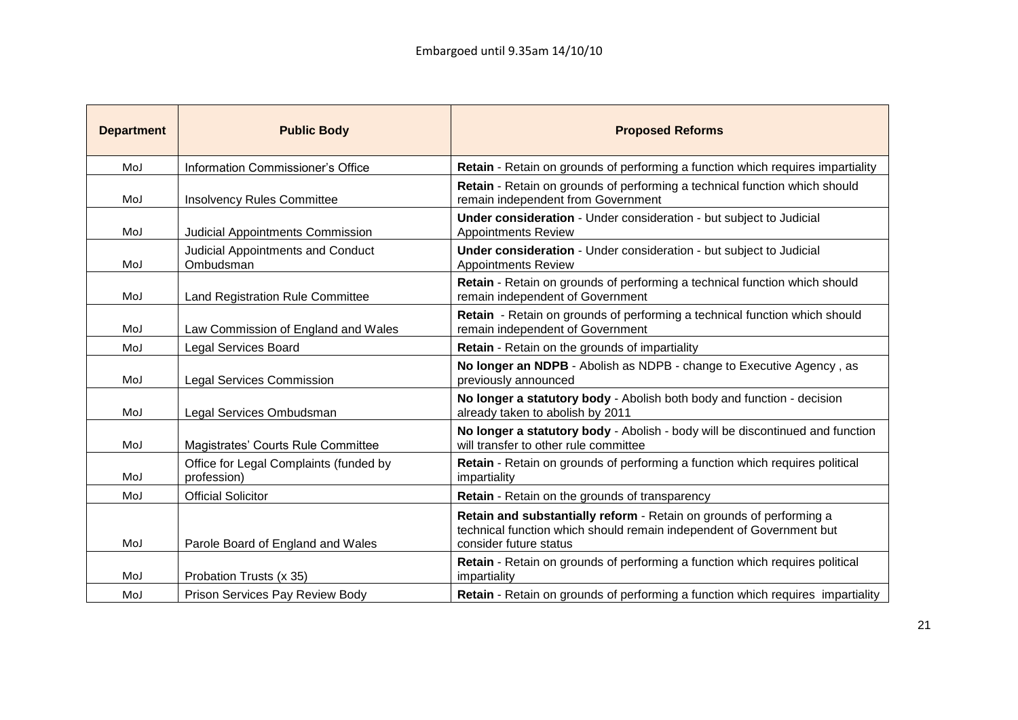| <b>Department</b> | <b>Public Body</b>                                    | <b>Proposed Reforms</b>                                                                                                                                               |
|-------------------|-------------------------------------------------------|-----------------------------------------------------------------------------------------------------------------------------------------------------------------------|
| MoJ               | Information Commissioner's Office                     | Retain - Retain on grounds of performing a function which requires impartiality                                                                                       |
| MoJ               | <b>Insolvency Rules Committee</b>                     | Retain - Retain on grounds of performing a technical function which should<br>remain independent from Government                                                      |
| MoJ               | Judicial Appointments Commission                      | <b>Under consideration</b> - Under consideration - but subject to Judicial<br><b>Appointments Review</b>                                                              |
| MoJ               | <b>Judicial Appointments and Conduct</b><br>Ombudsman | Under consideration - Under consideration - but subject to Judicial<br><b>Appointments Review</b>                                                                     |
| MoJ               | Land Registration Rule Committee                      | Retain - Retain on grounds of performing a technical function which should<br>remain independent of Government                                                        |
| MoJ               | Law Commission of England and Wales                   | Retain - Retain on grounds of performing a technical function which should<br>remain independent of Government                                                        |
| MoJ               | <b>Legal Services Board</b>                           | Retain - Retain on the grounds of impartiality                                                                                                                        |
| MoJ               | <b>Legal Services Commission</b>                      | No longer an NDPB - Abolish as NDPB - change to Executive Agency, as<br>previously announced                                                                          |
| MoJ               | Legal Services Ombudsman                              | No longer a statutory body - Abolish both body and function - decision<br>already taken to abolish by 2011                                                            |
| MoJ               | Magistrates' Courts Rule Committee                    | No longer a statutory body - Abolish - body will be discontinued and function<br>will transfer to other rule committee                                                |
| MoJ               | Office for Legal Complaints (funded by<br>profession) | Retain - Retain on grounds of performing a function which requires political<br>impartiality                                                                          |
| MoJ               | <b>Official Solicitor</b>                             | Retain - Retain on the grounds of transparency                                                                                                                        |
| MoJ               | Parole Board of England and Wales                     | Retain and substantially reform - Retain on grounds of performing a<br>technical function which should remain independent of Government but<br>consider future status |
| MoJ               | Probation Trusts (x 35)                               | Retain - Retain on grounds of performing a function which requires political<br>impartiality                                                                          |
| MoJ               | Prison Services Pay Review Body                       | Retain - Retain on grounds of performing a function which requires impartiality                                                                                       |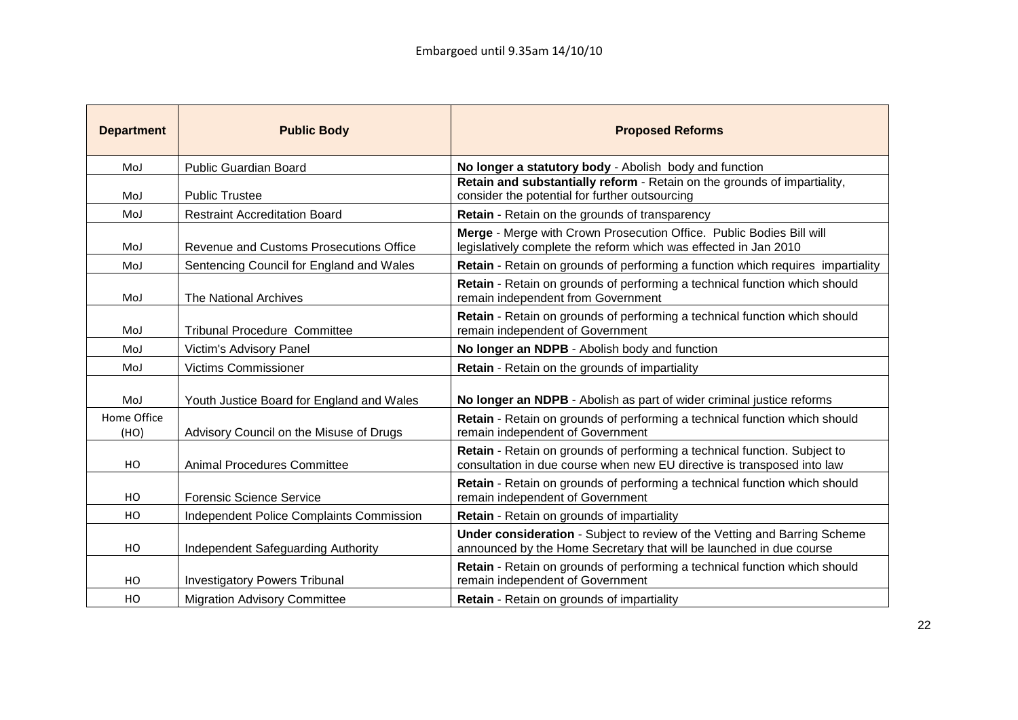| <b>Department</b>   | <b>Public Body</b>                              | <b>Proposed Reforms</b>                                                                                                                                 |
|---------------------|-------------------------------------------------|---------------------------------------------------------------------------------------------------------------------------------------------------------|
| MoJ                 | <b>Public Guardian Board</b>                    | No longer a statutory body - Abolish body and function                                                                                                  |
| MoJ                 | <b>Public Trustee</b>                           | Retain and substantially reform - Retain on the grounds of impartiality,<br>consider the potential for further outsourcing                              |
| MoJ                 | <b>Restraint Accreditation Board</b>            | <b>Retain</b> - Retain on the grounds of transparency                                                                                                   |
| MoJ                 | <b>Revenue and Customs Prosecutions Office</b>  | Merge - Merge with Crown Prosecution Office. Public Bodies Bill will<br>legislatively complete the reform which was effected in Jan 2010                |
| MoJ                 | Sentencing Council for England and Wales        | <b>Retain</b> - Retain on grounds of performing a function which requires impartiality                                                                  |
| MoJ                 | <b>The National Archives</b>                    | Retain - Retain on grounds of performing a technical function which should<br>remain independent from Government                                        |
| MoJ                 | <b>Tribunal Procedure Committee</b>             | Retain - Retain on grounds of performing a technical function which should<br>remain independent of Government                                          |
| MoJ                 | Victim's Advisory Panel                         | No longer an NDPB - Abolish body and function                                                                                                           |
| MoJ                 | <b>Victims Commissioner</b>                     | Retain - Retain on the grounds of impartiality                                                                                                          |
| MoJ                 | Youth Justice Board for England and Wales       | No longer an NDPB - Abolish as part of wider criminal justice reforms                                                                                   |
| Home Office<br>(HO) | Advisory Council on the Misuse of Drugs         | Retain - Retain on grounds of performing a technical function which should<br>remain independent of Government                                          |
| HO                  | <b>Animal Procedures Committee</b>              | Retain - Retain on grounds of performing a technical function. Subject to<br>consultation in due course when new EU directive is transposed into law    |
| HO                  | <b>Forensic Science Service</b>                 | Retain - Retain on grounds of performing a technical function which should<br>remain independent of Government                                          |
| HO                  | <b>Independent Police Complaints Commission</b> | Retain - Retain on grounds of impartiality                                                                                                              |
| HO                  | Independent Safeguarding Authority              | <b>Under consideration</b> - Subject to review of the Vetting and Barring Scheme<br>announced by the Home Secretary that will be launched in due course |
| HO                  | <b>Investigatory Powers Tribunal</b>            | Retain - Retain on grounds of performing a technical function which should<br>remain independent of Government                                          |
| HO                  | <b>Migration Advisory Committee</b>             | Retain - Retain on grounds of impartiality                                                                                                              |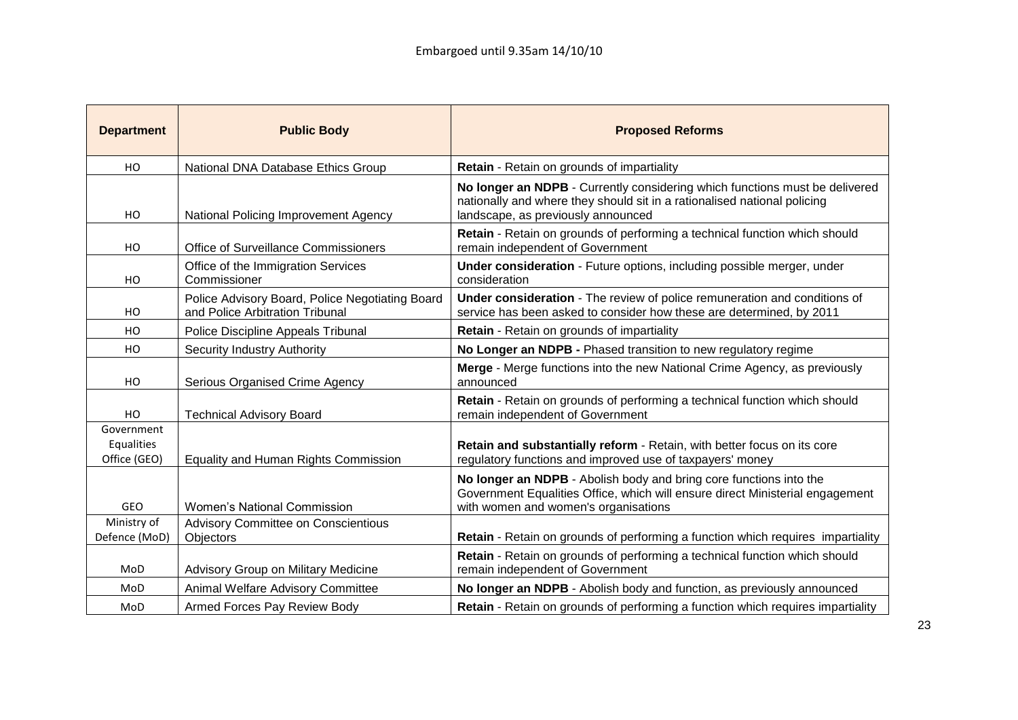| <b>Department</b>                        | <b>Public Body</b>                                                                 | <b>Proposed Reforms</b>                                                                                                                                                                       |
|------------------------------------------|------------------------------------------------------------------------------------|-----------------------------------------------------------------------------------------------------------------------------------------------------------------------------------------------|
| HO                                       | National DNA Database Ethics Group                                                 | Retain - Retain on grounds of impartiality                                                                                                                                                    |
| HO                                       | National Policing Improvement Agency                                               | No longer an NDPB - Currently considering which functions must be delivered<br>nationally and where they should sit in a rationalised national policing<br>landscape, as previously announced |
| HO                                       | Office of Surveillance Commissioners                                               | Retain - Retain on grounds of performing a technical function which should<br>remain independent of Government                                                                                |
| HO                                       | Office of the Immigration Services<br>Commissioner                                 | Under consideration - Future options, including possible merger, under<br>consideration                                                                                                       |
| HO                                       | Police Advisory Board, Police Negotiating Board<br>and Police Arbitration Tribunal | Under consideration - The review of police remuneration and conditions of<br>service has been asked to consider how these are determined, by 2011                                             |
| HO                                       | Police Discipline Appeals Tribunal                                                 | Retain - Retain on grounds of impartiality                                                                                                                                                    |
| HO                                       | Security Industry Authority                                                        | No Longer an NDPB - Phased transition to new regulatory regime                                                                                                                                |
| HO                                       | Serious Organised Crime Agency                                                     | Merge - Merge functions into the new National Crime Agency, as previously<br>announced                                                                                                        |
| HO                                       | <b>Technical Advisory Board</b>                                                    | Retain - Retain on grounds of performing a technical function which should<br>remain independent of Government                                                                                |
| Government<br>Equalities<br>Office (GEO) | Equality and Human Rights Commission                                               | Retain and substantially reform - Retain, with better focus on its core<br>regulatory functions and improved use of taxpayers' money                                                          |
| GEO                                      | <b>Women's National Commission</b>                                                 | No longer an NDPB - Abolish body and bring core functions into the<br>Government Equalities Office, which will ensure direct Ministerial engagement<br>with women and women's organisations   |
| Ministry of<br>Defence (MoD)             | <b>Advisory Committee on Conscientious</b><br>Objectors                            | Retain - Retain on grounds of performing a function which requires impartiality                                                                                                               |
| MoD                                      | Advisory Group on Military Medicine                                                | Retain - Retain on grounds of performing a technical function which should<br>remain independent of Government                                                                                |
| MoD                                      | Animal Welfare Advisory Committee                                                  | No longer an NDPB - Abolish body and function, as previously announced                                                                                                                        |
| MoD                                      | Armed Forces Pay Review Body                                                       | Retain - Retain on grounds of performing a function which requires impartiality                                                                                                               |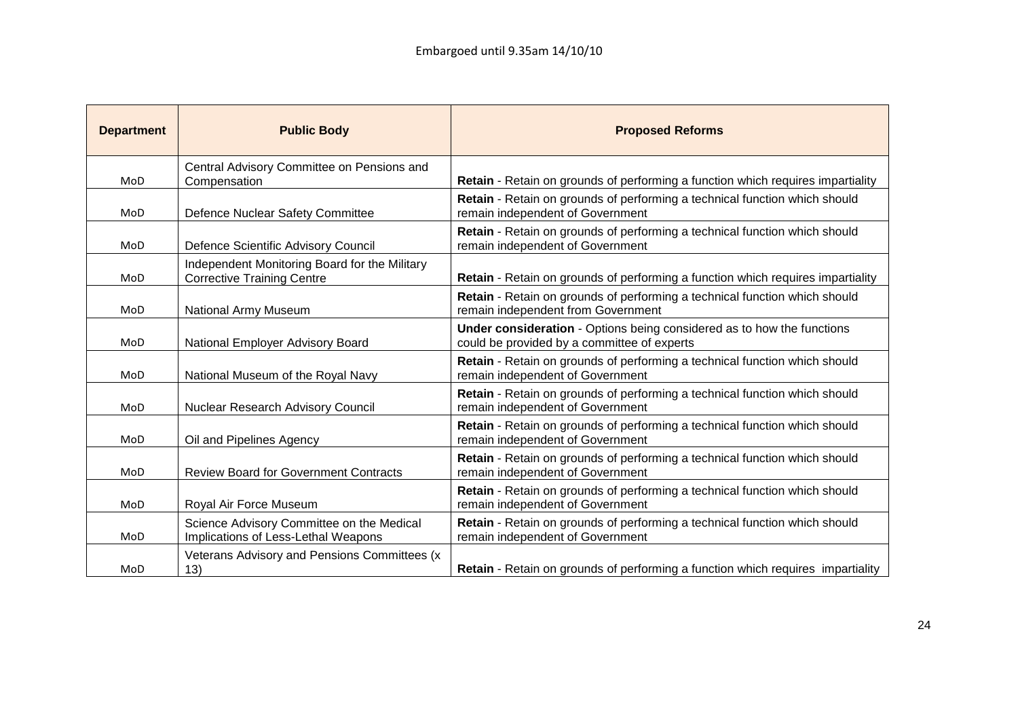| <b>Department</b> | <b>Public Body</b>                                                                 | <b>Proposed Reforms</b>                                                                                                      |
|-------------------|------------------------------------------------------------------------------------|------------------------------------------------------------------------------------------------------------------------------|
| MoD               | Central Advisory Committee on Pensions and<br>Compensation                         | Retain - Retain on grounds of performing a function which requires impartiality                                              |
| MoD               | Defence Nuclear Safety Committee                                                   | Retain - Retain on grounds of performing a technical function which should<br>remain independent of Government               |
| MoD               | Defence Scientific Advisory Council                                                | Retain - Retain on grounds of performing a technical function which should<br>remain independent of Government               |
| MoD               | Independent Monitoring Board for the Military<br><b>Corrective Training Centre</b> | Retain - Retain on grounds of performing a function which requires impartiality                                              |
| MoD               | National Army Museum                                                               | Retain - Retain on grounds of performing a technical function which should<br>remain independent from Government             |
| MoD               | National Employer Advisory Board                                                   | <b>Under consideration</b> - Options being considered as to how the functions<br>could be provided by a committee of experts |
| MoD               | National Museum of the Royal Navy                                                  | Retain - Retain on grounds of performing a technical function which should<br>remain independent of Government               |
| MoD               | Nuclear Research Advisory Council                                                  | Retain - Retain on grounds of performing a technical function which should<br>remain independent of Government               |
| MoD               | Oil and Pipelines Agency                                                           | Retain - Retain on grounds of performing a technical function which should<br>remain independent of Government               |
| MoD               | <b>Review Board for Government Contracts</b>                                       | Retain - Retain on grounds of performing a technical function which should<br>remain independent of Government               |
| MoD               | Royal Air Force Museum                                                             | Retain - Retain on grounds of performing a technical function which should<br>remain independent of Government               |
| MoD               | Science Advisory Committee on the Medical<br>Implications of Less-Lethal Weapons   | Retain - Retain on grounds of performing a technical function which should<br>remain independent of Government               |
| MoD               | Veterans Advisory and Pensions Committees (x<br>13)                                | <b>Retain</b> - Retain on grounds of performing a function which requires impartiality                                       |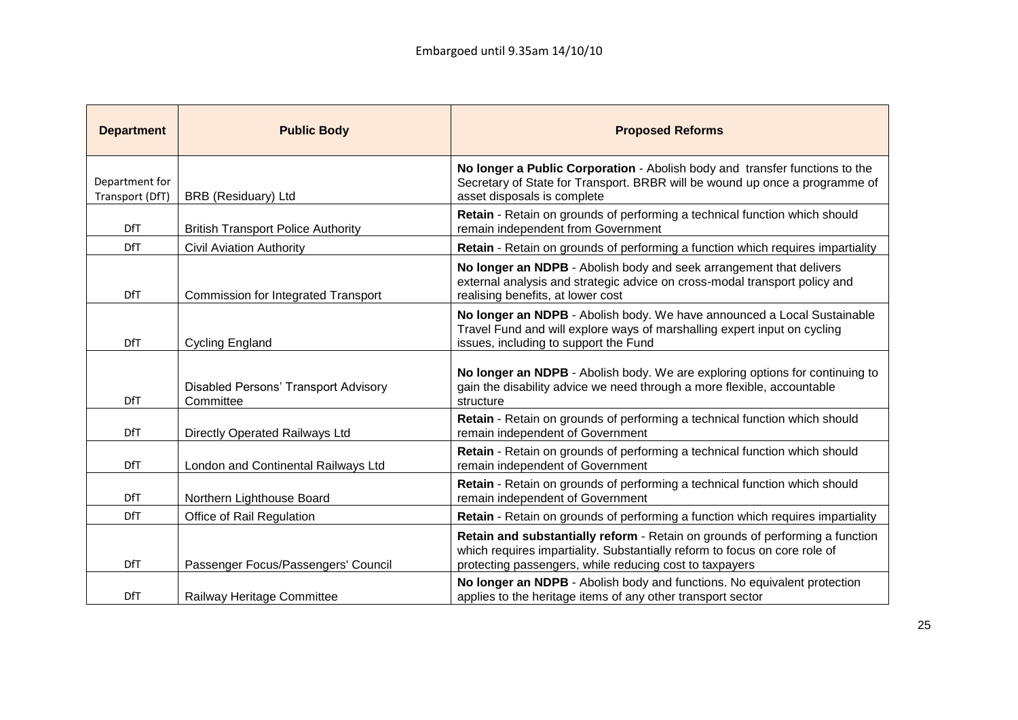| <b>Department</b>                 | <b>Public Body</b>                                | <b>Proposed Reforms</b>                                                                                                                                                                                               |
|-----------------------------------|---------------------------------------------------|-----------------------------------------------------------------------------------------------------------------------------------------------------------------------------------------------------------------------|
| Department for<br>Transport (DfT) | BRB (Residuary) Ltd                               | No longer a Public Corporation - Abolish body and transfer functions to the<br>Secretary of State for Transport. BRBR will be wound up once a programme of<br>asset disposals is complete                             |
| <b>DfT</b>                        | <b>British Transport Police Authority</b>         | Retain - Retain on grounds of performing a technical function which should<br>remain independent from Government                                                                                                      |
| <b>DfT</b>                        | <b>Civil Aviation Authority</b>                   | Retain - Retain on grounds of performing a function which requires impartiality                                                                                                                                       |
| DfT                               | <b>Commission for Integrated Transport</b>        | No longer an NDPB - Abolish body and seek arrangement that delivers<br>external analysis and strategic advice on cross-modal transport policy and<br>realising benefits, at lower cost                                |
| <b>DfT</b>                        | <b>Cycling England</b>                            | No longer an NDPB - Abolish body. We have announced a Local Sustainable<br>Travel Fund and will explore ways of marshalling expert input on cycling<br>issues, including to support the Fund                          |
| <b>DfT</b>                        | Disabled Persons' Transport Advisory<br>Committee | No longer an NDPB - Abolish body. We are exploring options for continuing to<br>gain the disability advice we need through a more flexible, accountable<br>structure                                                  |
| <b>DfT</b>                        | Directly Operated Railways Ltd                    | Retain - Retain on grounds of performing a technical function which should<br>remain independent of Government                                                                                                        |
| DfT                               | London and Continental Railways Ltd               | Retain - Retain on grounds of performing a technical function which should<br>remain independent of Government                                                                                                        |
| <b>DfT</b>                        | Northern Lighthouse Board                         | Retain - Retain on grounds of performing a technical function which should<br>remain independent of Government                                                                                                        |
| <b>DfT</b>                        | Office of Rail Regulation                         | Retain - Retain on grounds of performing a function which requires impartiality                                                                                                                                       |
| DfT                               | Passenger Focus/Passengers' Council               | Retain and substantially reform - Retain on grounds of performing a function<br>which requires impartiality. Substantially reform to focus on core role of<br>protecting passengers, while reducing cost to taxpayers |
| <b>DfT</b>                        | Railway Heritage Committee                        | No longer an NDPB - Abolish body and functions. No equivalent protection<br>applies to the heritage items of any other transport sector                                                                               |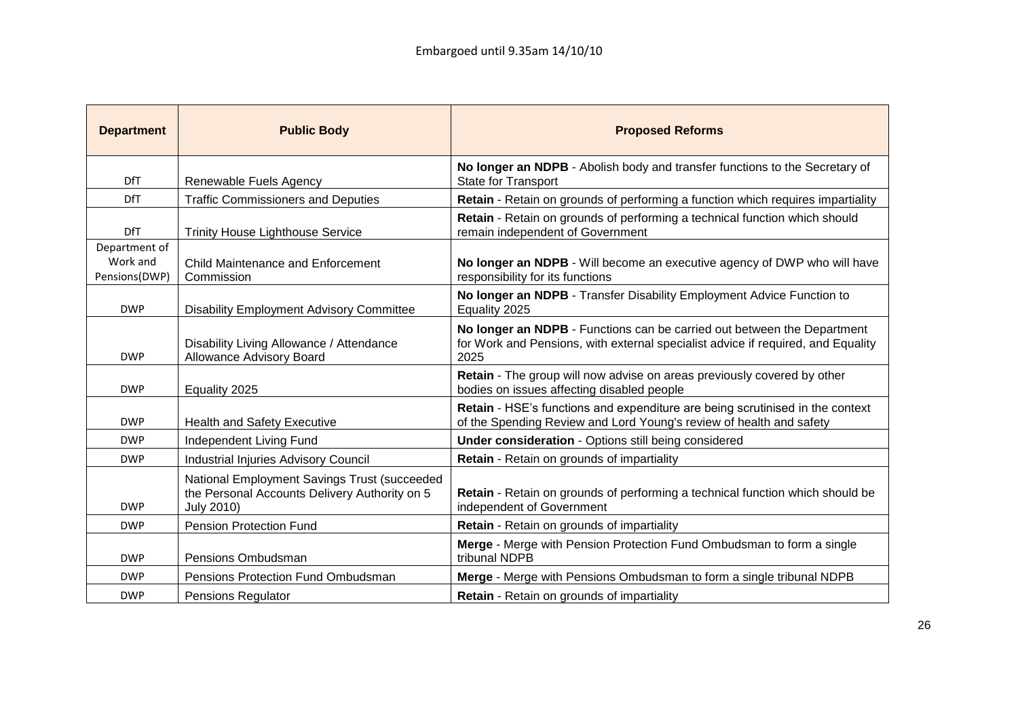| <b>Department</b>                          | <b>Public Body</b>                                                                                                 | <b>Proposed Reforms</b>                                                                                                                                             |
|--------------------------------------------|--------------------------------------------------------------------------------------------------------------------|---------------------------------------------------------------------------------------------------------------------------------------------------------------------|
| <b>DfT</b>                                 | Renewable Fuels Agency                                                                                             | No longer an NDPB - Abolish body and transfer functions to the Secretary of<br><b>State for Transport</b>                                                           |
| <b>DfT</b>                                 | <b>Traffic Commissioners and Deputies</b>                                                                          | Retain - Retain on grounds of performing a function which requires impartiality                                                                                     |
| <b>DfT</b>                                 | <b>Trinity House Lighthouse Service</b>                                                                            | Retain - Retain on grounds of performing a technical function which should<br>remain independent of Government                                                      |
| Department of<br>Work and<br>Pensions(DWP) | <b>Child Maintenance and Enforcement</b><br>Commission                                                             | No longer an NDPB - Will become an executive agency of DWP who will have<br>responsibility for its functions                                                        |
| <b>DWP</b>                                 | <b>Disability Employment Advisory Committee</b>                                                                    | No longer an NDPB - Transfer Disability Employment Advice Function to<br>Equality 2025                                                                              |
| <b>DWP</b>                                 | Disability Living Allowance / Attendance<br><b>Allowance Advisory Board</b>                                        | No longer an NDPB - Functions can be carried out between the Department<br>for Work and Pensions, with external specialist advice if required, and Equality<br>2025 |
| <b>DWP</b>                                 | Equality 2025                                                                                                      | Retain - The group will now advise on areas previously covered by other<br>bodies on issues affecting disabled people                                               |
| <b>DWP</b>                                 | <b>Health and Safety Executive</b>                                                                                 | Retain - HSE's functions and expenditure are being scrutinised in the context<br>of the Spending Review and Lord Young's review of health and safety                |
| <b>DWP</b>                                 | Independent Living Fund                                                                                            | <b>Under consideration - Options still being considered</b>                                                                                                         |
| <b>DWP</b>                                 | <b>Industrial Injuries Advisory Council</b>                                                                        | Retain - Retain on grounds of impartiality                                                                                                                          |
| <b>DWP</b>                                 | National Employment Savings Trust (succeeded<br>the Personal Accounts Delivery Authority on 5<br><b>July 2010)</b> | Retain - Retain on grounds of performing a technical function which should be<br>independent of Government                                                          |
| <b>DWP</b>                                 | <b>Pension Protection Fund</b>                                                                                     | Retain - Retain on grounds of impartiality                                                                                                                          |
| <b>DWP</b>                                 | Pensions Ombudsman                                                                                                 | Merge - Merge with Pension Protection Fund Ombudsman to form a single<br>tribunal NDPB                                                                              |
| <b>DWP</b>                                 | Pensions Protection Fund Ombudsman                                                                                 | Merge - Merge with Pensions Ombudsman to form a single tribunal NDPB                                                                                                |
| <b>DWP</b>                                 | <b>Pensions Regulator</b>                                                                                          | Retain - Retain on grounds of impartiality                                                                                                                          |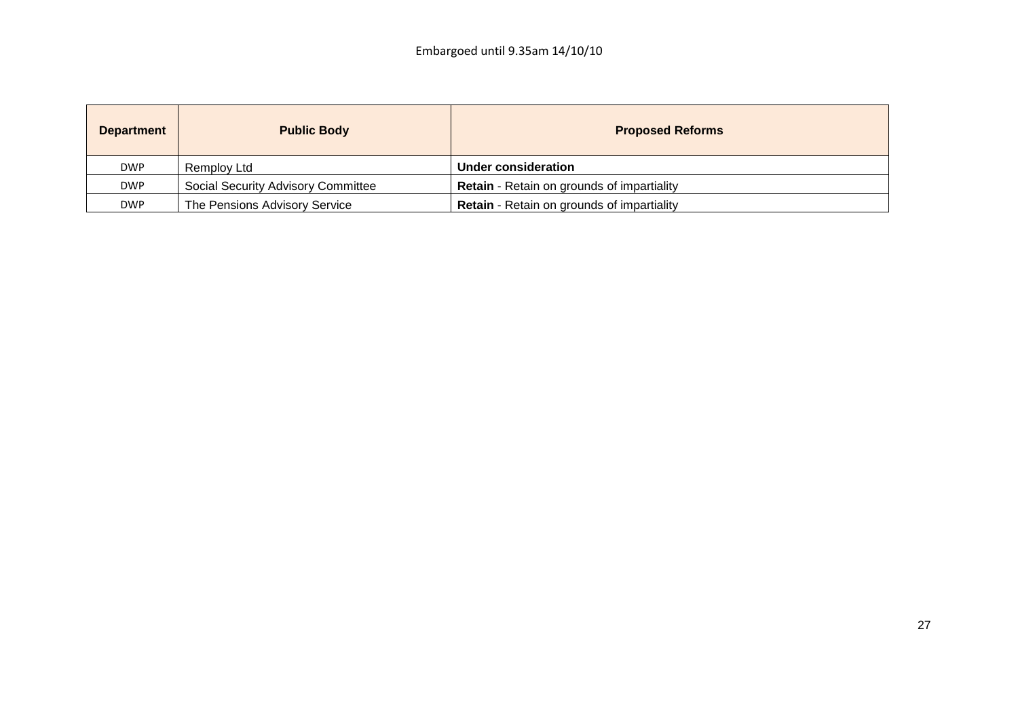| <b>Department</b> | <b>Public Body</b>                        | <b>Proposed Reforms</b>                    |
|-------------------|-------------------------------------------|--------------------------------------------|
| <b>DWP</b>        | Remploy Ltd                               | Under consideration                        |
| <b>DWP</b>        | <b>Social Security Advisory Committee</b> | Retain - Retain on grounds of impartiality |
| <b>DWP</b>        | The Pensions Advisory Service             | Retain - Retain on grounds of impartiality |